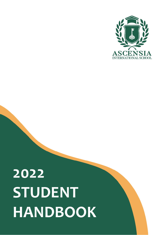

# **2022 STUDENT HANDBOOK**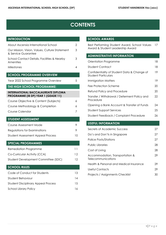19

# **CONTENTS**

| <b>INTRODUCTION</b>                                                               |                |
|-----------------------------------------------------------------------------------|----------------|
| About Ascensia International School                                               | $\overline{2}$ |
| Our Mission, Vision, Values, Culture Statement<br>& Service Guarantee             | 3              |
| School Contact Details, Facilities & Nearby<br>Amenities                          | 3              |
| Milestones                                                                        | 4              |
| <b>SCHOOL PROGRAMME OVERVIEW</b>                                                  |                |
| Year 2022 School Programme Overview                                               | 5              |
| THE HIGH SCHOOL PROGRAMME:                                                        |                |
| <b>INTERNATIONAL BACCALAUREATE DIPLOMA</b><br>PROGRAMME (IB DP) YEAR 1 (GEADE 11) |                |
| Course Objective & Content (Subjects)                                             | 6              |
| Course Methodology & Completion                                                   | 6              |
| Course Calendar                                                                   | 7              |
| <b>STUDENT ASSESSMENT</b>                                                         |                |
| Course Assessment Mode                                                            | 9              |
| Regulations for Examinations                                                      | 9              |
| <b>Student Assessment Appeal Process</b>                                          | 10             |
| <b>SPECIAL PROGRAMMES</b>                                                         |                |
| <b>Remediation Programme</b>                                                      | 11             |
| Co-Curricular Activity (CCA)                                                      | 12             |
| Student Development Committee (SDC)                                               | 12             |
| <b>SCHOOL RULES</b>                                                               |                |
| Code of Conduct for Students                                                      | 13             |
| Student Behaviour                                                                 | 14             |
| <b>Student Disciplinary Appeal Process</b>                                        | 15             |
| <b>School Library Policy</b>                                                      | 16             |

### **SCHOOL AWARDS**

Best Performing Student Award, School Values 17 Award & Student Leadership Award

# **ADMINISTRATIVE INFORMATION** Orientation Programme 18 Student Contract 18 Confidentiality of Student Data & Change of Student Particulars

| Immigration Matters                                       | 19 |
|-----------------------------------------------------------|----|
| Fee Protection Scheme                                     | 20 |
| Refund Policy and Procedure                               | 20 |
| Transfer / Withdrawal / Deferment Policy and<br>Procedure | 22 |
| Opening a Bank Account & Transfer of Funds                | 24 |
| <b>Student Support Services</b>                           | 25 |
| Student Feedback / Complaint Procedure                    | 26 |

### **USEFUL INFORMATION**

| Secrets of Academic Success                           | 27 |
|-------------------------------------------------------|----|
| Do's and Don'ts in Singapore                          | 27 |
| Police Posts/Stations                                 | 27 |
| Public Libraries                                      | 28 |
| Cost of Living                                        | 28 |
| Accommodation, Transportation &<br>Telecommunications | 29 |
| Health & Personal and Medical Insurance               | 29 |
| Useful Contacts                                       | 29 |
| Projects / Assignments Checklist                      | 30 |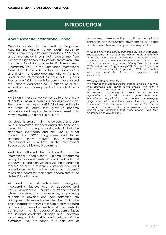# **INTRODUCTION**

# **About Ascensia International School**

Centrally located in the heart of Singapore, Ascensia International School (AAIS) caters to families from many different nationalities. AAIS offers a comprehensive through-train programme from Primary to High School with smooth progression from the International Baccalaureate (IB) Primary Years Programme (PYP), to the Cambridge International General Certificate of Secondary Education (IGCSE) and finally the Cambridge International AS & A Level or the International Baccalaureate Diploma Programme (IBDP). Since 1992, parents have valued the school's dedication to its mission of quality education and development of the child as a whole.

AAIS is an IB World School authorised to offer primary students an inspired inquiry-led learning experience. The students' journey at AAIS is full of explorations to the world. In return, they grow to become passionate and responsible individuals seeking to move forward with a positive attitude.

Our students progress with the guidance and care by our committed teachers during the Secondary Years. AAIS aims to equip our students with both the academic knowledge and 21st Century skillset through the IGCSE programme and further strengthen them through the Cambridge International AS & A Level or the International Baccalaureate Diploma Programme.

AAIS has attained the authorisation of the International Baccalaureate Diploma Programme aiming to provide students with quality education at pre-university and High School level. The programme focuses on skills in research, communication and presentation, which will enhance our students' minds and hearts for their future endeavours in the Higher Education level.

At AAIS, the student-centred pedagogy, incorporating rigorous focus on academic and holistic development, creates a transformational whole new educational experience, empowering students to develop and gain admission into prestigious colleges and universities. Also, an inquirybased pedagogy ensures that high quality teaching and learning meets the needs of all its students. To complement the high degree of academic rigour, the students celebrate diversity and undertake social responsibility inside and outside of the classroom. They are honed to a high level of awareness, demonstrating aptitude in global citizenship and intercultural environments as agents and leaders who are principled and responsible.

*\*AAIS is an IB World School authorised by the International Baccalaureate (IB) to offer the Primary Years Programme (PYP), and the Diploma Programme (DP). Only schools authorized by the International Baccalaureate can offer any of its four academic programmes: Primary Years Programme (PYP), Middle Years Programme (MYP), Diploma Programme (DP)* or Career-related Programme *(CP)*. For further *information about the IB and its programmes, visit [www.ibo.org](http://www.ibo.org/)*

#### *\*\*Mission Statement from the IB*

*The International Baccalaureate aims to develop inquiring, knowledgeable and caring young people who help to create a better and more peaceful world through intercultural understanding and respect. To this end the organization works with schools, governments and international organizations to develop challenging programmes of international education and rigorous assessment. These programmes encourage students across the world to become active, compassionate and lifelong learners who understand that other people, with their differences, can also be right.*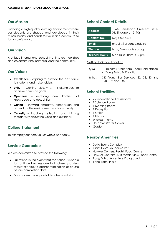### **Our Mission**

Providing a high-quality learning environment where our students are shaped and developed in their minds, hearts, and hands to live in and contribute to tomorrow's world.

### **Our Vision**

A unique international school that inspires, nourishes and celebrates the individual and the community.

### **Our Values**

- **Excellence** aspiring to provide the best value to students and stakeholders.
- **Unity** working closely with stakeholders to achieve common goals.
- **Openness** exploring new frontiers of knowledge and possibilities.
- **Caring** showing empathy, compassion and respect for the environment and community.
- **Curiosity** inquiring, reflecting and thinking thoughtfully about the world and our ideas.

### **Culture Statement**

To exemplify our core values whole-heartedly.

# **Service Guarantee**

We are committed to provide the following:

- Full refund in the event that the School is unable to continue business due to insolvency and/or regulatory closure and/or termination of course before completion date.
- Easy access to our pool of teachers and staff.

# **School Contact Details**

| 106A Henderson Crescent, #01-<br>01, Singapore 151106 |
|-------------------------------------------------------|
| $(65)$ 6466 5505                                      |
| enquiry@ascensia.edu.sg                               |
| http://www.aais.edu.sg                                |
| Mon-Fri, 8.30am-4.30pm                                |
|                                                       |

#### Getting to School Location

- By MRT: 10 minutes' walk from Redhill MRT station or Tiong Bahru MRT station
- By Bus: SBS Transit Bus Services (32, 33, 63, 64, 120, 132 and 145)

### **School Facilities**

- 7 air-conditioned classrooms
- 1 Science Room
- 1 Meeting Room
- 1 Reception
- 1 Office
- 1 Library
- Wireless internet
- Hot/Cold Water Cooler
- Garden

### **Nearby Amenities**

- Delta Sports Complex
- Giant Express Supermarket
- Hawker Centers: Redhill Food Centre
- Hawker Centers: Bukit Merah View Food Centre
- Tiong Bahru Adventure Playground
- Tiong Bahru Plaza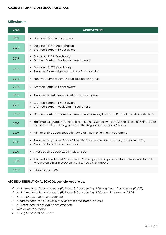# **Milestones**

| <b>YEAR</b> | <b>ACHIEVEMENTS</b>                                                                                                                                                          |
|-------------|------------------------------------------------------------------------------------------------------------------------------------------------------------------------------|
| 2021        | Obtained IB DP Authorization<br>$\bullet$                                                                                                                                    |
| 2020        | Obtained IB PYP Authorization<br>Granted EduTrust 4-Year award                                                                                                               |
| 2019        | <b>Obtained IB DP Candidacy</b><br>$\bullet$<br>Granted EduTrust Provisional 1-Year award                                                                                    |
| 2018        | <b>Obtained IB PYP Candidacy</b><br>$\bullet$<br>Awarded Cambridge International School status<br>$\bullet$                                                                  |
| 2016        | Renewed bizSAFE Level 3 Certification for 3 years<br>$\bullet$                                                                                                               |
| 2015        | Granted EduTrust 4-Year award                                                                                                                                                |
| 2013        | Awarded bizSAFE level 3 Certification for 3 years                                                                                                                            |
| 2011        | Granted EduTrust 4-Year award<br>Granted EduTrust Provisional 1-Year award                                                                                                   |
| 2010        | • Granted EduTrust Provisional 1-Year award among the first 13 Private Education Institutions                                                                                |
| 2008        | Both Hua Language Centre and Hua Business School were the 2 Finalists out of 3 Finalists for<br>$\bullet$<br>the Best Enrichment Programme at the Singapore Education Awards |
| 2007        | Winner of Singapore Education Awards - Best Enrichment Programme<br>$\bullet$                                                                                                |
| 2005        | Awarded Singapore Quality Class (SQC) for Private Education Organizations (PEOs)<br>$\bullet$<br>Awarded Case Trust for Education                                            |
| 2004        | • Awarded Singapore Quality Class (SQC)                                                                                                                                      |
| 1995        | Started to conduct AEIS / O-Level / A-Level preparatory courses for international students<br>who are enrolling into government schools in Singapore                         |
| 1992        | Established in 1992<br>$\bullet$                                                                                                                                             |

### **ASCENSIA INTERNATIONAL SCHOOL, your obvious choice:**

- ✓ *An International Baccalaureate (IB) World School offering IB Primary Years Programme (IB PYP)*
- ✓ *An International Baccalaureate (IB) World School offering IB Diploma Programme (IB DP)*
- ✓ *A Cambridge International School*
- ✓ *A noted school for 'O' level as well as other preparatory courses*
- ✓ *A strong team of education professionals*
- ✓ *Well-devised curricula*
- ✓ *A long list of satisfied clients*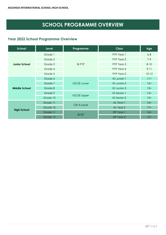# **SCHOOL PROGRAMME OVERVIEW**

# **Year 2022 School Programme Overview**

| School               | <b>Level</b> | Programme          | <b>Class</b> | Age      |
|----------------------|--------------|--------------------|--------------|----------|
|                      | Grade 1      |                    | PYP Year-1   | $6 - 8$  |
|                      | Grade 2      |                    | PYP Year-2   | $7-9$    |
| <b>Junior School</b> | Grade 3      | <b>IB PYP</b>      | PYP Year-3   | $8 - 10$ |
|                      | Grade 4      |                    | PYP Year-4   | $9 - 11$ |
|                      | Grade 5      |                    | PYP Year-5   | $10-12$  |
|                      | Grade 6      |                    | IG Junior-1  | $11+$    |
|                      | Grade 7      | <b>IGCSE Lower</b> | IG Junior-2  | $12+$    |
| <b>Middle School</b> | Grade 8      |                    | IG Junior-3  | $13+$    |
|                      | Grade 9      | <b>IGCSE Upper</b> | IG Senior-1  | $14+$    |
|                      | Grade 10     |                    | IG Senior-2  | $15+$    |
|                      | Grade 11     | <b>CIE A-Level</b> | AL Year-1    | $16+$    |
| <b>High School</b>   | Grade 12     |                    | AL Year 2    | $17+$    |
|                      | Grade 11     |                    | DP Year-1    | $16+$    |
|                      | Grade 12     | <b>IB DP</b>       | DP Year-2    | $17+$    |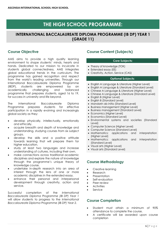# **THE HIGH SCHOOL PROGRAMME:**

# **INTERNATIONAL BACCALAUREATE DIPLOMA PROGRAMME (IB DP) YEAR 1 (GRADE 11)**

# **Course Objective**

AAIS aims to provide a high quality learning environment to shape students' minds, hearts and hands. Dedicated to our mission to inculcate in students global connectedness, AAIS integrates global educational trends in the curriculum. The programme has gained recognition and respect from the world's leading universities. Through our International Baccalaureate Diploma Programme (IBDP), students are empowered by an academically challenging and balanced programme that prepares students, aged 16 to 19, for success in university and life beyond.

The International Baccalaureate Diploma Programme prepares students for effective participation in a rapidly evolving and increasingly global society as they:

- develop physically, intellectually, emotionally and ethically.
- acquire breadth and depth of knowledge and understanding, studying courses from six subject groups.
- develop the skills and a positive attitude towards learning that will prepare them for higher education.
- study at least two languages and increase understanding of cultures, including their own.
- make connections across traditional academic disciplines and explore the nature of knowledge through the programme's unique theory of knowledge course.
- undertake in-depth research into an area of interest through the lens of one or more academic disciplines in the extended essay.
- enhance their personal and interpersonal development through creativity, action and service.

Successful completion of the *International Baccalaureate Diploma Programme (IB DP) Year 1* will allow students to progress to the *International Baccalaureate Diploma Programme (IB DP) Year 2*.

# **Course Content (Subjects)**

### **Core Subjects:**

- Theory of knowledge (TOK)
- Extended essay (EE)
- Creativity, Action, Service (CAS)

### **Optional Subjects:**

- English A Language & Literature (Higher Level)
- English A Language & Literature (Standard Level)
- Chinese A Language & Literature (Higher Level)
- Chinese A Language & Literature (Standard Level)
- English B (Higher Level)
- English B (Standard Level)
- Mandarin ab initio (Standard Level)
- Business management (Higher Level)
- Business management (Standard Level)
- Economics (Higher Level)
- Economics (Standard Level)
- Environmental systems and societies (Standard Level)
- Computer Science (Higher Level)
- Computer Science (Standard Level)
- Mathematics: applications and interpretation (Higher Level)
- Mathematics: applications and interpretation (Standard Level)
- Visual arts (Higher Level)
- Visual arts (Standard Level)

# **Course Methodology**

- Creative learning
- Research
- **Presentation**
- Self-evaluation
- Peer review
- **Activities**
- **Service**

# **Course Completion**

- Student must attain a minimum of 90% attendance to complete the course.
- A certificate will be awarded upon course completion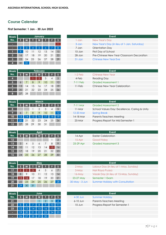# **Course Calendar**

**First Semester: 1 Jan - 30 Jun 2022**

| Week                    |    | <b>January</b> |    |    |    |    |              |  |  |  |  |
|-------------------------|----|----------------|----|----|----|----|--------------|--|--|--|--|
| No.                     |    | M              |    | W  |    | F  |              |  |  |  |  |
| е                       |    |                |    |    |    |    |              |  |  |  |  |
| н                       |    | 3              |    | 5. | 6  |    | <sup>8</sup> |  |  |  |  |
|                         |    | 10             | 11 | 12 | 13 | 14 | 15           |  |  |  |  |
| $\overline{\mathbf{2}}$ | 16 |                | 18 | 19 | 20 | 21 | 22           |  |  |  |  |
| 3                       | 23 | 24             | 25 | 26 | 27 | 28 | 29           |  |  |  |  |
| 74                      | 30 | 31             |    |    |    |    |              |  |  |  |  |

| eek |    |     |     | January |    |    |                | Event                                                    |
|-----|----|-----|-----|---------|----|----|----------------|----------------------------------------------------------|
| lo. |    | М   |     | W       |    |    |                | New Year's Day<br>1-Jan                                  |
|     |    |     |     |         |    |    |                | New Year's Day (in lieu of 1-Jan, Saturday)<br>$3 - Jan$ |
|     |    |     |     |         |    |    | $\overline{8}$ | Orientation Day<br>7-Jan                                 |
|     | 9  | 10  |     | 12      | 13 | 14 | 15             | First Day of School<br>$10 - Jan$                        |
|     | 16 |     | 18  | -19     | 20 | 21 | 22             | Pre-Chinese New Year Classroom Decoration<br>$28 - Jan$  |
|     | 23 | 24  | -25 | 26      | 27 | 28 | 29             | <b>Chinese New Year Eve</b><br>$31 - Jan$                |
|     | 20 | -91 |     |         |    |    |                |                                                          |

| Week |    |    |    | <b>February</b> |    |                |    |            |                    |
|------|----|----|----|-----------------|----|----------------|----|------------|--------------------|
| No.  |    | M  |    | W               |    | F.             |    | $1-2$ Feb  | <b>Chinese New</b> |
| 4    |    |    |    | $\overline{2}$  | 3  | $\overline{4}$ | 5  | 4-Feb      | <b>Reading Day</b> |
| 15   | 6  |    | 8  | 9               | 10 |                | 12 | $7-11$ Feb | <b>Graded Asse</b> |
| Ъ    | 13 | 14 | 15 | 16 17           |    | 18             | 19 | $11-Feb$   | <b>Chinese New</b> |
|      | 20 | 21 |    | 22 23 24        |    | 25             | 26 |            |                    |
| 8    | 27 | 28 |    |                 |    |                |    |            |                    |

| Week |    |    |    | March          |                 |    |                 |           |                     |
|------|----|----|----|----------------|-----------------|----|-----------------|-----------|---------------------|
| No.  |    | M  |    | W              |                 |    |                 | 7-11 Mar  | <b>Graded Asse</b>  |
| 8    |    |    |    | $\overline{2}$ | 3               | 4  | 5               | $11-Mar$  | School Value        |
| 9    | 6  |    | 8  | 9              | 10              |    | 12 <sup>7</sup> | 12-20 Mar | <b>Spring Break</b> |
| 10   | 13 | 14 | 15 | 161            | 17 <sup>°</sup> | 18 | 19 <sup>°</sup> | 14-18 Mar | Parents-Tead        |
|      | 20 | 21 | 22 | 23             | 24              | 25 | 26              | $25-Mar$  | Progress Rep        |
| 12   | 27 | 28 | 29 | 30             | 31              |    |                 |           |                     |

| Week              |    |                |             | <b>April</b> |    |                 |               |           |                     |
|-------------------|----|----------------|-------------|--------------|----|-----------------|---------------|-----------|---------------------|
| No.               |    | Μ              |             | W            |    |                 |               | 14-Apr    | <b>Easter Celeb</b> |
| $12 \overline{ }$ |    |                |             |              |    |                 | $\mathcal{P}$ | $15-Apr$  | <b>Good Friday</b>  |
| 13                | 3  | $\overline{4}$ | $5^{\circ}$ | 6            |    | 8               | 9             | 25-29 Apr | <b>Graded Asse</b>  |
| 14                | 10 | -11            | 12          | 13           | 14 | 15 <sup>°</sup> | $\sqrt{16}$   |           |                     |
| 15                |    | 18             | 19          | 20           | 21 | 22              | 23            |           |                     |
| 16                | 24 | 25             | <b>26</b>   | 27           | 28 | 29              | 30            |           |                     |

| Week |    |    |    | May            |         |                |    | Eve                                     |
|------|----|----|----|----------------|---------|----------------|----|-----------------------------------------|
| No.  |    |    |    | W              |         |                |    | Labour Day (in lie<br>$2-May$           |
| 17   |    | ာ  | 3  | $\overline{4}$ | 5       | $\overline{6}$ |    | Hari Raya Puasa<br>3-May                |
| 18   | 8  | 9  | 10 | -11            | $12 \,$ | 13             | 14 | Vesak Day (in lier<br>$16$ -May         |
| 19   | 15 | 16 | 17 | 18             | 19      | <b>20</b>      | 21 | 23-27 May<br>Semester 1 Exam            |
| 20   | 22 | 23 | 24 | 25             | 26      | 27             | 28 | 30 May - 3 Jun<br><b>Summer Holiday</b> |
| 21   | 29 | 30 | 31 |                |         |                |    |                                         |

| Week |     | June |    |    |                |    |     |  |  |  |  |  |
|------|-----|------|----|----|----------------|----|-----|--|--|--|--|--|
| No.  | S   | M    | Ī  | W  | Π              | F  | S   |  |  |  |  |  |
| 21   |     |      |    |    | $\overline{2}$ | 3  | 4   |  |  |  |  |  |
| 22   | 5   | 6    | 7  | 8  | 9              | 10 |     |  |  |  |  |  |
| 23   | 12' | īЗ   | 14 | 15 | 16             | 17 | 18' |  |  |  |  |  |
|      | 19  | 20   | 21 | 22 | 23             | 24 | 25  |  |  |  |  |  |
| −    | 26  | 27   | 28 | 29 | 30             |    |     |  |  |  |  |  |

| eek   |                 |          |          | February<br>l w<br>F S<br>. .<br>5 <sup>′</sup><br>$\overline{4}$ |                 |                 |                 | Event                                    |
|-------|-----------------|----------|----------|-------------------------------------------------------------------|-----------------|-----------------|-----------------|------------------------------------------|
| lo. I | $\bullet$       | <b>M</b> |          |                                                                   |                 |                 |                 | 1-2 Feb<br><b>Chinese New Year</b>       |
| 4     |                 |          |          |                                                                   |                 |                 |                 | Reading Day<br>4-Feb                     |
|       | $\overline{6}$  |          | 8        | - 9                                                               | 10 <sup>°</sup> | $\overline{11}$ | 12 <sup>2</sup> | <b>Graded Assessment 1</b><br>$7-11$ Feb |
|       | 13 <sup>1</sup> | 14       | 15 16 17 |                                                                   |                 | 18              | 19 <sup>°</sup> | Chinese New Year Celebration<br>l 1-Feb  |
|       | 20              | 21       | 22 23 24 |                                                                   |                 | 25              | 26              |                                          |

| 'eek           |            |    |                      | <b>March</b> |    |    |                       | Event                                                   |  |  |  |  |  |
|----------------|------------|----|----------------------|--------------|----|----|-----------------------|---------------------------------------------------------|--|--|--|--|--|
| No.            |            | M  |                      | <b>W</b>     |    |    | $1$ t $1$ e $1$ s $1$ | Graded Assessment 2<br>7-11 Mar                         |  |  |  |  |  |
| 8 <sub>1</sub> |            |    |                      |              |    |    |                       | School Values Day: Excellence, Caring & Unity<br>11-Mar |  |  |  |  |  |
| $\overline{9}$ |            |    | 89                   |              | 10 |    | $11$ 12               | 12-20 Mar<br><b>Spring Break</b>                        |  |  |  |  |  |
| $10-1$         |            |    | 13 14 15 16 17 18 19 |              |    |    |                       | Parents-Teachers Meeting<br>14-18 Mar                   |  |  |  |  |  |
| $11 -$         | $\vert$ 20 | 21 | 22 23 24             |              |    | 25 | 26                    | Progress Report for Mid Semester-1<br>$25-Mar$          |  |  |  |  |  |

| eek             |                                                                                   |     | <b>April</b> |                   |             |           | Event                      |
|-----------------|-----------------------------------------------------------------------------------|-----|--------------|-------------------|-------------|-----------|----------------------------|
| ٧o.             | $\begin{array}{ccc} \hline \hline \hline \hline \hline \hline \hline \end{array}$ |     |              | IMIT WIT FIS      |             | 14-Apr    | Easter Celebration         |
| 12 <sub>2</sub> |                                                                                   |     |              |                   | $2^{\circ}$ | 15-Apr    | <b>Good Friday</b>         |
| 13 <sup>°</sup> | 3                                                                                 | 456 |              | $8 \overline{9}$  |             | 25-29 Apr | <b>Graded Assessment 3</b> |
| 14 <sup>°</sup> | $10-1$                                                                            |     |              | 11 12 13 14 15 16 |             |           |                            |
|                 |                                                                                   |     |              |                   |             |           |                            |

| 'eek I          |                 |            |                  | May            |             |                      |                | Event                                   |  |  |  |  |  |
|-----------------|-----------------|------------|------------------|----------------|-------------|----------------------|----------------|-----------------------------------------|--|--|--|--|--|
|                 |                 |            |                  |                |             | <b>No. SMITWITFS</b> | $2-May$        | Labour Day (in lieu of 1-May, Sunday)   |  |  |  |  |  |
| $17$ 1 1        |                 | $\sqrt{2}$ | $\blacksquare$ 3 | $\overline{4}$ | $5^{\circ}$ |                      | 3-May          | Hari Raya Puasa                         |  |  |  |  |  |
| 18 <sup>7</sup> | 8 <sup>1</sup>  | $-19$      | $10$ 11          |                |             | $12$ $13$ $14$       | $16$ -May      | Vesak Day (in lieu of 15-May, Sunday)   |  |  |  |  |  |
| 19              | 15 <sub>1</sub> |            | 16 17 18         |                | 19          | 20 21                | 23-27 May      | Semester 1 Exam                         |  |  |  |  |  |
| 20 <sub>2</sub> | 22              | 23         |                  | 24 25          |             | $26$ 27 28           | 30 May - 3 Jun | <b>Summer Holiday with Consultation</b> |  |  |  |  |  |

| 'eek |  |                         | June |  |  |
|------|--|-------------------------|------|--|--|
| No.  |  | SMTWTFS                 |      |  |  |
| 21   |  |                         |      |  |  |
|      |  | 22 5 6 7 8 9 10 11      |      |  |  |
|      |  | 23 12 13 14 15 16 17 18 |      |  |  |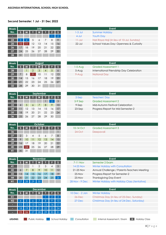#### **Second Semester: 1 Jul - 31 Dec 2022**

| Week |    |    |                   | July |                 |    |            |
|------|----|----|-------------------|------|-----------------|----|------------|
| No.  |    | M  |                   | W    |                 | ß  |            |
| о    |    |    |                   |      |                 |    | $\sqrt{2}$ |
| 24   | 3  | 4  | 5                 | 6    |                 | 8  | 9          |
| 25   | 10 |    | $12 \overline{ }$ | 13   | $\overline{14}$ | 15 | 16         |
| 26   | 47 | 8  | 19                | 20   | 21              | 22 | 23         |
| 27   | 24 | 25 | 26                | 27   | 28              | 29 | 30         |
| 28   | 31 |    |                   |      |                 |    |            |

| eek |              |                  |       | JUIT |                 |                 |                | .                                                       |
|-----|--------------|------------------|-------|------|-----------------|-----------------|----------------|---------------------------------------------------------|
| N٥. |              | <b>M</b>         |       | W    |                 |                 | $\mathsf{L}$ s | <b>Summer Holiday</b><br>1-3 Jul                        |
|     |              |                  |       |      |                 |                 |                | $4$ -Jul<br><b>Youth Day</b>                            |
| 24  | 3            | $\boldsymbol{A}$ | 5     | 6    |                 | 8               | -9             | Hari Raya Haji (in lieu of 10-Jul, Sunday)<br>$11$ -Jul |
| 25  | $10^{\circ}$ |                  | 12    | -13  | $\overline{14}$ | 15 <sub>1</sub> |                | $22$ -Jul<br>School Values Day: Openness & Curiosity    |
|     | 17           | 18               | $-19$ | 20   | $\sqrt{21}$     | 22 <sub>2</sub> | 23             |                                                         |
| 27  | 24           | 25               | 26 27 |      | 28              | 29              | 30             |                                                         |

**S M T W T F S** 1-5 Aug Graded Assessment 1

 $2$ -Sep Teachers' Day **3-9 Sep Graded Assessment 2** 

10-14 Oct Graded Assessment 3

14-25 Nov Winter Holiday with Consultation

**42** 6 7 8 9 10 11 12 21-25 Nov Annual Challenge / Parents-Teachers Meeting

**3-Sep Mid-Autumn Festival Celebration** 23-Sep Progress Report for Mid Semester-2

| Week |    |                 |                | August        |                 |       |    | Event     |                         |  |  |  |
|------|----|-----------------|----------------|---------------|-----------------|-------|----|-----------|-------------------------|--|--|--|
| No.  |    | M               |                | W             |                 |       |    | $1-5$ Aug | <b>Graded Assessmen</b> |  |  |  |
| 28   |    |                 | $\overline{2}$ | $\mathcal{S}$ | $\overline{4}$  | 5     | 6  | $5-Aug$   | International Frienc    |  |  |  |
| 29   |    | 8               | 19.            | 10            | $\overline{11}$ | 12    | 13 | $9-Auq$   | <b>National Day</b>     |  |  |  |
| 30   | 14 | 15              | 16             | 17            | 18              | 19    | 20 |           |                         |  |  |  |
| 31   | 21 | 22 <sub>2</sub> | 23             | 24            |                 | 25 26 | 27 |           |                         |  |  |  |
| 32   | 28 | 29              | 30             | 31            |                 |       |    |           |                         |  |  |  |

| International Friendship Day Celebration |
|------------------------------------------|
|                                          |
|                                          |
|                                          |
|                                          |
|                                          |
|                                          |
|                                          |

| <b>Week</b> |    | September |    |    |    |                |    |  |  |  |  |  |  |
|-------------|----|-----------|----|----|----|----------------|----|--|--|--|--|--|--|
| No.         | S  | M         | π  | W  |    | F              | S  |  |  |  |  |  |  |
| 32          |    |           |    |    |    | $\overline{2}$ | 3  |  |  |  |  |  |  |
| 33          |    | 5         | 6  | 7  | 8  | 9              | 10 |  |  |  |  |  |  |
| 34          |    | 12        | 13 | 14 | 15 | 16             | 17 |  |  |  |  |  |  |
| 35          | 18 | 19        | 20 | 21 | 22 | 23             | 24 |  |  |  |  |  |  |
| 36          | 25 | 26        | 27 | 28 | 29 | 30             |    |  |  |  |  |  |  |

| Week |                |    |                | October |    |    |          |           |  |                         |  |  |
|------|----------------|----|----------------|---------|----|----|----------|-----------|--|-------------------------|--|--|
| No.  | S              | M  |                | W       |    | F  | <b>S</b> | 10-14 Oct |  | <b>Graded Assessmen</b> |  |  |
| 36   |                |    |                |         |    |    |          | $24$ -Oct |  | Deepavali               |  |  |
| 37   | $\overline{2}$ | 3  | $\overline{4}$ | 5       | 6  | 7  | 8        |           |  |                         |  |  |
| 38   | 9              | 10 | 11             | 12      | 13 | 14 | 15       |           |  |                         |  |  |
| 39   | 16             | 17 | 18             | 19      | 20 | 21 | 22       |           |  |                         |  |  |
| 40   | 23             | 24 | 25             | 26      | 27 | 28 | 29       |           |  |                         |  |  |
|      | 30             | 31 |                |         |    |    |          |           |  |                         |  |  |

| <b>Week</b> | <b>November</b> |                |    |                 |    |    |    | Event          |                     |  |
|-------------|-----------------|----------------|----|-----------------|----|----|----|----------------|---------------------|--|
| No.         |                 |                |    | W               |    |    |    | 7-11 Nov       | Semester 2 Exam     |  |
| 41          |                 |                |    | 2               | 3  | 4  | 5  | 14-25 Nov      | Winter Holiday with |  |
| 42          |                 |                | 8  | 9               | 10 |    | 12 | 21-25 Nov      | Annual Challenge    |  |
| 43          | 13              | $\overline{4}$ | 15 | 16              |    | 18 |    | $25-Nov$       | Progress Report for |  |
| 44          | 20              | 21             | 22 | 23              | 24 | 25 | 26 | $25-Nov$       | Thanksgiving Day E  |  |
| H1          | 27              |                |    | 30 <sup>°</sup> |    |    |    | 28 Nov - 9 Dec | Winter Holiday with |  |

| 43             | 13 | 14  | 15 <sup>°</sup> | 16              |    | 18 | 19 | $25-Nov$       | Progress Report for Semester-2                |
|----------------|----|-----|-----------------|-----------------|----|----|----|----------------|-----------------------------------------------|
| 44             | 20 | 21  | 22              | 23              | 24 | 25 | 26 | $25-Nov$       | <b>Thanksgiving Day Event</b>                 |
| H1             | 27 | 28  | 29              | 30              |    |    |    | 28 Nov - 9 Dec | Winter Holiday with Holiday Class (tentative) |
|                |    |     |                 |                 |    |    |    |                |                                               |
| 'eek           |    |     |                 | <b>December</b> |    |    |    |                | Event                                         |
| No.            |    |     |                 | W               |    |    |    | 10 Dec - 2 Jan | <b>Winter Holiday</b>                         |
| H <sub>1</sub> |    |     |                 |                 |    |    |    | $26$ -Dec      | Christmas Day (in lieu of 25-Dec, Sunday)     |
| H <sub>2</sub> |    |     | O               |                 | 8  |    |    | $27$ -Dec      | Christmas Day (in lieu of 24-Dec, Saturday)   |
|                |    |     | IЗ              | l 4             | 15 | 16 |    |                |                                               |
|                | 18 | 19. | 20              | $\overline{2}$  | 22 | 23 | 24 |                |                                               |
|                | 25 | 26' |                 |                 | 29 | 30 | 31 |                |                                               |
|                |    |     |                 |                 |    |    |    |                |                                               |

**Week No.**

*LEGEND: Public Holiday School Holiday Consultation Internal Assessment / Exam* **H** *Holiday Class*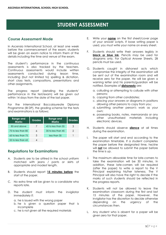# **STUDENT ASSESSMENT**

# **Course Assessment Mode**

In Ascensia International School, at least one week before the commencement of the exam, students will be given an exam notice to inform them of the details including the time and venue of the exam.

The student's performance in the continuous assessments is also tracked by the teachers. Continuous assessments would include written assessments conducted during lesson time, including (but not limited to) spelling & dictation, short class tests, compositions, presentations and other assignments.

The progress report (detailing the students' performance in the test/exam) will be given out within 14 days from the date of the last paper.

For the International Baccalaureate Diploma Programme (IB DP), the grading scheme for the tests and examinations is as follows:

| <b>Range and</b><br><b>Marks</b> | <b>Grades</b> | Range and<br><b>Marks</b> | Grades |
|----------------------------------|---------------|---------------------------|--------|
| 85 and above                     |               | 45 to less than 55        |        |
| 75 to less than 85               |               | 35 to less than 45        | 2      |
| 65 to less than 75               | 5             | less than 35              |        |
| 55 to less than 65               |               |                           |        |

# **Regulations for Examinations**

- A. Students are to be attired in the school uniform matched with jeans / pants or skirts of appropriate and modest length.
- B. Students should report **15 minutes before** the start of the paper.
- C. No extra time will be given to a candidate who reports late.
- D. The student must inform the invigilator immediately if:
	- a. he is issued with the wrong paper
	- b. he is given a question paper that is incomplete
	- c. he is not given all the required materials
- E. Write your **name** on the first sheet/cover page of your answer scripts. If loose writing paper is used, you must write your name on every sheet.
- F. Students should write their answers legibly in **black or blue ink**. Pencils may be used for diagrams only. For Optical Answer Sheets, 2B pencils must be used.
- G. Students caught in dishonest acts which compromise the integrity of the examination will be sent out of the examination room and will receive zero for the paper. He will be given a warning letter and his parents/guardian will be notified. Examples of **dishonesty** are:
	- a. colluding or attempting to collude with other persons;
	- b. copying from other candidates;
	- c. placing your answers or diagrams in positions allowing other persons to copy from you;
	- d. submitting another person's work as your own;
	- e. possessing books, notes, memoranda or any other unauthorised materials including electronic devices.
- H. Students should observe **silence** at all times during the examination.
- I. The paper will start and end according to the examination timetable. If a student completes the paper before the designated time, he/she will **not** be allowed to submit the paper before the time is up.
- J. The maximum allowable time for late-comers to take the examination will be 30 minutes. In addition, these late-comers will be required (after the paper) to write a report to the V Principal explaining his/her lateness. The V Principal will also have the right to decide if the marks of such students should be reflected in the progress reports.
- K. Students will not be allowed to leave the examination classroom during the first and last 15 minutes of the paper. However, the invigilator has the discretion to decide otherwise depending on the urgency of the circumstances then.
- L. Any student who is absent for a paper will be given zero for that paper.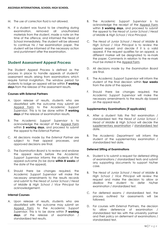- M. The use of correction fluid is not allowed.
- N. If a student was found to be cheating during examination, removed all unauthorized materials from the student, made a note on the time of the offence, and informed the Head of School immediately. The student will be allowed to continue his / her examination paper. The student will be informed of the necessary action and punishment after the examination.

### **Student Assessment Appeal Process**

The Student Appeal Process is defined as the process in place to handle appeals of students' assessment results arising from examinations which require formal invigilation. The window period for students to lodge an appeal will be within **7 working days** from the release of the assessment results.

### **Courses with External Partners**

- A. Upon release of results, students who are dissatisfied with the outcome may submit an Appeal Form to the *Academic Support Supervisor*. This is to be done within **7 working days** of the release of examination results.
- B. The *Academic Support Supervisor* is to acknowledge the receipt of the Appeal Form within **3 working days**, and proceed to submit the appeal to the *External Partner*.
- C. All decisions made by the *External Partner* are subject to their appeal processes, and approved decisions are final.
- D. The *Examination Board* is to review and endorse the appeal results before the *Academic Support Supervisor* informs the students of the appeal outcome (to be done **within 8 weeks** of the date of the appeal).
- E. Should there be changes required, the *Academic Support Supervisor* will make the necessary amendments to the results records and submit to the *Head of Junior School* / *Head of Middle & High School* / *Vice Principal* for acknowledgement.

### **Internal Courses**

A. Upon release of results, students who are dissatisfied with the outcome may submit an Appeal Form to the *Academic Support Supervisor*. This is to be done within **7 working days** of the release of examination / standardized test results.

- B. The *Academic Support Supervisor* is to acknowledge the receipt of the Appeal Form within **3 working days**, and proceed to submit the appeal to the *Head of Junior School* / *Head of Middle & High School* / *Vice Principal*.
- C. The *Head of Junior School* / *Head of Middle & High School* / *Vice Principal* is to review the appeal request and decide if it is a valid appeal. If the request qualifies for an appeal, a different marker will be designated to re-mark the paper. Comments in relation to the re-mark must be stated in the Appeal Form.
- D. All decisions made by the *Examination Board* are final.
- E. The *Academic Support Supervisor* will inform the student of the final decision within **four weeks** from the date of the appeal.
- F. Should there be changes required, the *Academic Support Supervisor* will make the necessary amendments to the results slip based on the appeal result.

### **Supplementary Examinations (if applicable)**

- A. After a student fails the first examination / standardized test, the *Head of Junior School* / *Head of Middle & High School* will decide the supplementary examination / standardized test date.
- B. The *Academic Department* will inform the student of the supplementary examination / standardized test date.

### **Deferred Sitting of Examinations**

- A. Student is to submit a request for deferred sitting of examinations / standardized tests and submit any supporting documents to support his/her case.
- B. The *Head of Junior School* / *Head of Middle & High School* / *Vice Principal* will review the request and make the decision to allow or disallow the student to defer his/her examination / standardized test.
- C. For deferred exams / standardized test, the process outlined for assessments will be followed.
- D. For courses with *External Partners*, the decision to allow deference of examination / standardized test lies with the university partner and their policy on deferment of examinations / standardized test.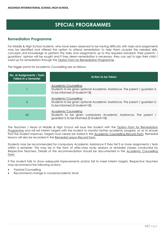# **SPECIAL PROGRAMMES**

### **Remediation Programme**

For Middle & High School students, who have been observed to be having difficulty with tasks and assignments may be identified and offered the option to attend remediation to help them acquire the needed skills, concepts and knowledge to perform the tasks and assignments up to the required standard. Their parents' / guardians' opinion will be sought and if they deem remediation is necessary, they can opt to sign their child / ward up for remediation through the Option Form for Remediation Programme.

The trigger points for Academic Counselling are as follows:

| No. of Assignments / Tests<br><b>Failed in a Semester</b> | <b>Action to be Taken</b>                                                                                                                      |  |  |  |
|-----------------------------------------------------------|------------------------------------------------------------------------------------------------------------------------------------------------|--|--|--|
|                                                           | <b>Academic Counselling</b><br>Students to be given optional Academic Assistance. The parent / guardian is<br>to be informed (if student<18)   |  |  |  |
| 2                                                         | <b>Academic Counselling</b><br>Students to be given optional Academic Assistance. The parent / guardian is<br>to be informed (if student<18)   |  |  |  |
| $\geq$ 3                                                  | <b>Academic Counselling</b><br>Students to be given compulsory Academic Assistance. The parent /<br>guardian is to be informed (if student<18) |  |  |  |

The *Teachers* / *Head of Middle & High School* will issue the student with the Option Form for Remediation Programme and will set interim targets with the student to monitor his/her academic progress, so as to ensure that the student improves. Targets must clearly be stated in the Academic Counselling Record Form. Remedial lessons will also be recorded in the Remedial Lesson Record Form.

Students may be recommended for compulsory Academic Assistance if they fail 3 or more assignments / tests within a semester. This may be in the form of after-class study sessions or remedial classes conducted by Respective Teachers. Details of the recommendation should be documented in the Academic Counselling Form.

If the student fails to show adequate improvements and/or fail to meet interim targets, Respective Teachers may recommend the following actions:

- Pastoral Counselling
- Recommend change in course/academic level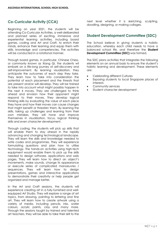# **Co-Curricular Activity (CCA)**

Beginning on year 2021, the students will be attending Co-Curricular Activities, a well-deliberated and planned series of exciting, immersive and experiential learning activities, including board games, coding and Art and Craft, to enrich their minds, enhance their learning and equip them with skills, knowledge and competencies. The activities will be conducted in a rotational manner.

Through board games, in particular, Chinese Chess, or commonly known as Xiang Qi, the students wil embark on a life-long journey of self-discovery and self-improvement. By learning visualization, they anticipate the outcomes of each step they take. They learn how to take into consideration the potential of each placement and the threats that are present and/or will develop. They will be trained to take into account what might possibly happen in the next 4 moves. They are challenged to think ahead and envision how their opponent might respond to their moves. They develop logical thinking skills by evaluating the value of each piece they have and how their moves can cause changes that might benefit or threaten them. By learning the skills, taking up challenges and learning from their own mistakes, they will hone and improve themselves in visualization, focus, logical thinking skills and even character development.

Through coding, the students will pick up skills that will enable them to stay ahead in the rapidly advancing and changing technological landscape. They will learn the skills and knowledge needed to write codes and programmes. They will experience formulating questions and plan how to utilise technology. The hands-on activities using high-tech equipment would enable them to pick up the skills needed to design software, applications and web pages. They will learn how to direct an object's movements, make sounds, change its appearance or execute series of complicated manoeuvres / sequences. They will learn how to design presentations, games and interactive applications to demonstrate their creativity or help people get organized and manage better.

In the Art and Craft sessions, the students will experience creating art in a fully-furnished and wellequipped Art Studio. They will explore a range of art topics, from drawing, painting to lettering and fine art. They will learn how to create artwork using a variety of media, including pencils, inks, water colours, acrylic paints, clay and many more. Through the sessions taught by trained and talented art teachers, they will be able to take their skill to the next level whether it is sketching, sculpting, doodling, designing, or making collages.

# **Student Development Committee (SDC)**

The School believe in giving students a holistic education, whereby each child needs to have a balanced school life, and therefore the **Student Development Committee (SDC)** was formed.

The SDC plans activities that integrates the following elements on an annual basis to ensure the student's holistic learning and development. These elements are:

- Celebrating different Cultures
- Exposing students to local Singapore places of interests
- Community services
- Student character development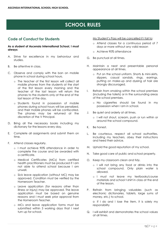# **SCHOOL RULES**

# **Code of Conduct for Students**

**As a student of Ascensia International School, I must always:**

- A. Strive for excellence in my behaviour and studies.
- B. Be attentive in class.
- C. Observe and comply with the ban on mobile phone in school during school hours.
	- o The teacher of the first lesson will collect all mobile phones from the students at the start of the first lesson every morning and the teacher of the last lesson will return the phones to the students only at the end of the last lesson of the day.
	- o Students found in possession of mobile phones during school hours will be penalized, and their mobile phones will be confiscated. The phones may be returned at the discretion of the V Principal.
- D. Bring all the necessary books including my dictionary for the lessons every day.
- E. Complete all assignments and submit them on time.
- F. Attend classes regularly.
	- o I must achieve 90% attendance in order to complete the course and be awarded with a certificate.
	- o Medical Certificates (MCs) from certified health practitioners must be produced if I am not able to attend school because I am unwell.
	- o Sick leave application (without MC) may be approved. Condition must be verified by the Homeroom Teacher.
	- o Leave application (for reasons other than illness or injury) may be approved. The leave application must be based on genuine reasons and I must seek prior approval from the Homeroom Teacher.
	- o MCs and leave application forms must be submitted within 3 working days that I next turn up for school.

My Student's Pass will be cancelled if I fail to:

- o Attend classes for a continuous period of 7 days or more without any valid reason
- o Achieve 90% attendance
- G. Be punctual at all times.
- H. Maintain a neat and presentable personal appearance at all times.
	- o Put on the school uniform. Shorts & mini-skirts, slippers, casual sandals, rings, earrings, putting on make-up and dyeing of hair are strongly discouraged.
- I. Refrain from smoking within the school premises (including the toilets) or in the surrounding areas of the school premises.
	- o No cigarettes should be found in my possession when I am in school.
- J. Be quiet and orderly at all times.
	- o I will not shout, scream, push or run within or around the school compound.
- K. Be honest.
- L. Be courteous, respect all school authorities, including my teachers, obey their instructions and heed their advice.
- M. Uphold the good reputation of my school.
- N. Take good care of public and school property.
- O. Keep my classroom clean and tidy.
	- o I will not bring any food or drinks into the school compound. Only plain water is allowed.
	- o I must not leave my textbooks/course materials and school t-shirt in class at the end of the lesson.
- P. Refrain from bringing valuables (such as electronic dictionaries, tablets, large sums of money, etc.) to school.

o If I do and I lose the item, it is solely my responsibility

Q. I will exhibit and demonstrates the school values at all times.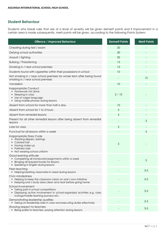# **Student Behaviour**

Students who break rules that are of a level of severity will be given demerit points and if improvement in a certain area is made subsequently, merit points will be given, according to the following Points System:

| <b>Offence / Improved Behaviour</b>                                                                                                                                            | <b>Demerit Points</b> | <b>Merit Points</b>      |
|--------------------------------------------------------------------------------------------------------------------------------------------------------------------------------|-----------------------|--------------------------|
| Cheating during test / exam                                                                                                                                                    | 30                    |                          |
| Defying school authorities                                                                                                                                                     | 30                    |                          |
| Assault / fighting                                                                                                                                                             | 30                    |                          |
| <b>Bullying / Threatening</b>                                                                                                                                                  | 15                    |                          |
| Smoking in / near school premises                                                                                                                                              | 15                    |                          |
| Students found with cigarettes within their possessions in school                                                                                                              | 10                    | $\overline{\phantom{a}}$ |
| Not smoking in / near school premises for whole term after being found<br>smoking in / near school premises                                                                    |                       | 15                       |
| Vandalism                                                                                                                                                                      | 10                    |                          |
| Inappropriate Conduct<br>Homework not done<br>Sleeping in class<br>Use of vulgar language<br>Using mobile phones during lessons<br>٠                                           | $2 - 10$              |                          |
| Absent from school for more than half a day                                                                                                                                    | 10                    |                          |
| Absent from school for 1 to 3 hours                                                                                                                                            | 5                     |                          |
| Absent from remedial lessons                                                                                                                                                   | 5                     |                          |
| Present for all other remedial lessons after being absent from remedial<br>lessons                                                                                             |                       | 5                        |
| Late for class                                                                                                                                                                 | $\overline{2}$        |                          |
| Punctual for all lessons within a week                                                                                                                                         |                       | 5                        |
| Inappropriate Dress Code<br>• Wearing slippers, earrings<br>Colored hair<br>Having make-up<br>Polished nails<br>Not wearing school uniform<br>٠                                | 5                     |                          |
| Good learning attitude<br>Completing all homework/assignments within a week<br>Bringing all required books for lessons<br>٠<br>• Speaking in English during lessons            |                       | 5                        |
| Peer-teaching<br>• Helping/assisting classmates in need during lessons                                                                                                         |                       | $3-5$                    |
| Civic-mindedness<br>• Helping to keep the classroom clean on one's own initiative<br>Keeping one's study area clean and neat before going home                                 |                       | $3-5$                    |
| School Involvement<br>• Taking part in school competitions<br>Displaying active involvement in school-organized activities e.g. class<br>outings/mobile learning journeys etc. |                       | $3 - 5$                  |
| Demonstrating leadership qualities<br>• Taking on leadership roles in class and executing duties effectively                                                                   |                       | $3 - 5$                  |
| Showing respect to teachers<br>• Being polite to teachers, paying attention during lessons                                                                                     |                       | $3-5$                    |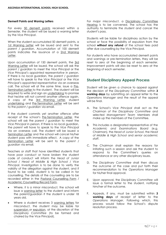### **Demerit Points and Waning Letters**

For every 50 demerit points received within a Semester, the student will be issued a warning letter by the *Vice Principal*.

When the student accumulated 50 demerit points, a 1st Warning Letter will be issued and sent to the *parent* / *guardian*. Accumulation of 100 demerit points indicates the issuance of a 2nd Warning Letter.

Upon accumulation of 150 demerit points, the 3rd Warning Letter will be issued, the school will ask the *parent* / *guardian* to meet the *Vice Principal* or the *Vice Principal's appointed representative* in person. If there is no local guardian, the *parent* / *guardian* will have to speak to the *Vice Principal* or the *Vice Principal's appointed representative* via an overseas call. The school will at the same time, issue a Pre-Termination Letter to the student. The student will be required to write and sign an undertaking to promise that he/she will not commit another offence again. A copy of the 3rd Warning Letter, student undertaking and Pre-Termination Letter will be sent to the *parent* / *guardian* via email.

If the student commits yet another offence after receipt of the school's Pre-Termination Letter, the school will ask the *parent* / *guardian* to meet the *Vice Principal* in person. If there is no local guardian, the *parent* will have to speak to the *Vice Principal* via an overseas call. The student will be issued a Termination Letter and the school will cancel his/her student pass with immediate effect. A copy of the Termination Letter will be sent to the *parent* / *guardian* via email.

Teachers or staff that have identified students that have poor conduct or have broken the student code of conduct will inform the *Head of Junior School* / *Head of Middle & High School* / *Vice Principal*. Investigation is to be done to verify the validity of the allegation against the student, and if found to be valid, student is to be called in for counselling. The details of the counselling are to be recorded either in the Pastoral Counselling Form / Academic Counselling Record Form.

- Where, it is a minor misconduct, the school will issue a warning letter to the student and inform the parent/guardian if the student is under 18 years old.
- Where a student receives 3 warning letters for misconduct, the student may be liable for suspension or expulsion, at the discretion of the *Disciplinary Committee* (to be formed and chaired by the Vice Principal).

For major misconduct, a Disciplinary Committee Hearing is to be convened. The school has the authority to terminate the student and cancel the student's pass.

Students will be liable for disciplinary action by the school or face the possibility of expulsion from the school **without any refund** of the school fees paid after due counselling by the Vice Principal.

For students who have accumulated demerit points and warnings or pre-termination letters, they will be reset to zero at the beginning of each semester. Improvement points will also be reset to zero at the beginning of each semester.

# **Student Disciplinary Appeal Process**

Student will be given a chance to appeal against the decision of the *Disciplinary Committee* within **3 working days** by submitting an appeal letter to the *Operations Manager* and the result of the appeal will be final.

- A. The School's *Vice Principal* shall act as the *Chairman of the Disciplinary Committee* and selected *Management Team* Members shall make up the members of the Committee.
- B. This includes a designated representative of the *Academic and Examinations Board* (e.g. Chairman), the *Head of Junior School*, the *Head of Middle & High School* and *senior academic staff*.
- C. The *Chairman* shall explain the reasons for initiating such a session and ask the student to respond to the Committee's queries on attendance or any other disciplinary issues.
- D. The *Disciplinary Committee* shall then discuss the outcome of the case and put forth their recommendation to the *Operations Manager* for his/her final approval.
- E. Upon approval, the *Disciplinary Committee* will issue a formal letter to the student, notifying him/her of the outcome.
- F. Appeals, if any, must be submitted within **3 working days** of receipt of letter to the *Operations Manager*. Following which, this process would follow the School's dispute resolution process.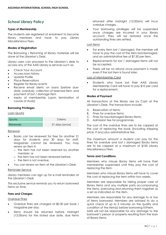# **School Library Policy**

### **Types of Membership**

The students are registered at enrolment to become library members and have to pay Library Miscellaneous Fees.

### **Modes of Registration**

The Borrowing / Returning of library materials will be done at the Librarian's Desk.

Library users can proceed to the Librarian's desk to access any of the AAIS Library e-services such as:

- Check Your Account
- Access loan history
- Update Profile
- Place Reservations
- Register for library events
- Receive email alerts: on loans (before duedate, overdue), collection of reserved item, and payment of lost / damage item
- expiry of membership (upon termination of course of study)

#### **Borrowing Privileges**

#### Loan Quota

| Quota i         | 3 items        |
|-----------------|----------------|
| <b>Renewals</b> | 21 days (once) |

#### Renewal

- Books can be renewed for free for another 21 days for students and 30 days for staff. Magazines cannot be renewed. You may renew an item if:
	- o the item has not been reserved by another member; or
	- o the item has not been renewed before.
	- o the item is not overdue.
- You can renew an item at the Librarian's Desk;

#### Reminder Service

Library members can sign up for e-mail reminders at the Librarian's Desk.

This exclusive service reminds you to return borrowed items on time.

### **Fees and Charges**

#### Overdue Fines

- Overdue fines are charged at \$0.30 per book / magazine per day.
- Items should be returned before midnight (12.00am) for the stated due date, due items

returned after midnight (12.00am) will incur overdue charges.

• Your borrowing privileges will be suspended once charges are incurred in your library account. They will be restored once the outstanding fines are settled.

### Lost items

- For every item lost / damaged, the member will have to pay the cost of the item lost/damaged, and an administrative fee of \$7.50 per item.
- Replacements for lost / damaged items will not be accepted.
- There will be no refund once payment is made even if the lost item is found later.

#### Loss of Membership Card

Students who have lost their AAIS Library Membership Card will have to pay \$10 per card for a replacement.

#### **Modes of Payment**

All transactions at the library are by Cash at the Librarian's Desk. The transactions include:

- A. Reservation of items;
- B. Fines for overdue items;
- C. Fines for loss/damaged library items;
- D. Admission fee for programmes

The cost of the overdue fines are to be capped at the cost of replacing the book (including shipping price, if any) plus administrative fee.

The maximum amount a student can pay for the fines for overdue and lost / damaged library items are to be capped at a maximum of \$100 Library Miscellaneous Fees.

#### **Terms and Conditions**

Members who misuse library items will have their membership suspended until they pay the cost of replacing the item.

Members who misuse library items will have to cover the cost of replacing the item within two weeks.

Members are responsible for taking proper care of library items and any multiple parts accompanying the items, borrowing and returning them together as a set as indicated on the item.

Members are responsible for any damage to or loss of items borrowed. Members are advised to do a quick check of up to 5 minutes on the quality and condition of the item(s) before borrowing it/them.

AAIS will not be responsible for any damage to the borrower's person or property resulting from the loan of library items.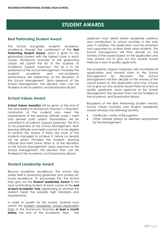# **STUDENT AWARDS**

# **Best Performing Student Award**

The School recognizes students' academic excellence through the conferment of the **Best Performing Student Award**, which is given to the graduating student with the highest score in each course. *Homeroom Teachers* of the graduating classes will submit the list of the students to *Academic Support Supervisor*. This list is to be presented at the *School Management*. Provided the students' academic and non-academic performance are satisfactory; at the discretion of the School Management. Upon approval at the School Management, the decision then can be finalized at the *Academic and Examination Board*.

# **School Values Award**

**School Values Award(s)** will be given at the end of the year based on *Homeroom Teacher's* / *Teachers'* nomination of the students who meet the requirements of the learning attitude score / merit and demerit point system. Nominations will be submitted to *Academic Support Supervisor*. This list is to be presented at the *School Management*. Both learning attitude and merits must be A to be eligible to receive the award. If there are none of the students managed to achieve it, hence no awards will be given. Provided the students' learning attitude and merit points attain A; at the discretion of the School Management. Upon approval at the School Management, the decision then can be finalized at the *Academic and Examination Board*.

# **Student Leadership Award**

Beyond academic excellence, the school also prides itself in producing graduates who possess allround excellence. To encourage this, the School may give out the **Student Leadership Award** to the most outstanding student of each course at the **end of each Academic Year** (depending on whether the student meets the requisite high standards and requirements).

In order to qualify for this award, students must submit the Student Leadership Award Application Form to the *Homeroom Teachers* **at least a month before** the end of the Academic Year. The applicant must detail his/her leadership positions and contributions to school activities in the past year. In addition, the application must be endorsed and supported by at least *three other students*. The *School Management* will then decide on the winners of the award based on the application and may choose not to give out any awards should there be a lack of quality applicants.

The *Academic Support Supervisor* will consolidate all applications and forward them to the *School Management* for discussion. The *School Management* will then decide on the winners of the award based on the application and may choose not to give out any awards should there be a lack of quality applicants. Upon approval at the School Management, the decision then can be finalized at the *Academic and Examination Board.*

Recipients of the Best Performing Student Award, School Values Award(s) and Student Leadership Award will enjoy the following benefits:

- Certificate / Letter of Recognition
- Other suitable prize(s) as deemed appropriate by the Management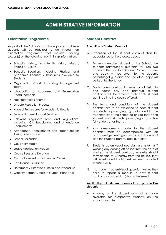# **ADMINISTRATIVE INFORMATION**

# **Orientation Programme**

As part of the School's admission process, all new students will be required to go through an Orientation Programme that includes briefing session(s) on the following (not limiting) information:

- School's History, include its Vision, Mission, Values & Culture
- School's Location, including Physical and Academic Facilities / Resources available to **Students**
- Organization Chart (Indicating Management Team)
- Introduction of Academic and Examination Board Members
- Fee Protection Scheme
- Dispute Resolution Process
- Appeal Procedures for Academic Results
- Suite of Student Support Services
- Relevant Singapore Laws and Regulations, including ICA Regulations and Attendance **Requirements**
- Attendance Requirements and Procedures for Taking Attendance
- School Calendar
- Course Timetable
- Leave Application Process
- Course Fees and Duration
- Course Completion and Award Criteria
- Post Course Guidance
- Deferment / Extension Criteria and Procedure
- Other Important Details in Student Handbook

# **Student Contract**

### **Execution of Student Contract**

- A. Execution of the student contract shall be accordance to the process below.
- B. For each enrolled student of the School, the students parent/legal guardian will sign two copies of the standard Student Contract, where one copy will be given to the students parent/legal guardian and the other copy will be kept by the School.
- C. Each student contract is meant for admission to one course only and individual student contracts will be entered with each student admitted into the course offered.
- D. The terms and conditions of the student contract are to be explained to each student and students parent/legal guardian and it is the responsibility of the School to ensure that each student and students parent/legal guardian fully understands them.
- E. Any amendments made to the student contract must be accompanied with an acknowledgement signatory by both the school and the students parent/legal guardian.
- F. Students parent/legal guardian are given a 7 working day cooling off period from the date of signing the student contract, whereby should they decide to withdraw from the course, they will be refunded the highest percentage stated in Schedule D.
- G. If a students parent/legal guardian wishes their child to repeat a module, a new student contract (or addendum) has to be issued.

### **Availability of student contract to prospective students**

A. A copy of the student contract is made available for prospective students on the school's website.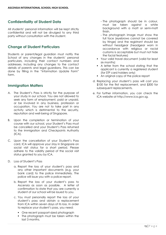# **Confidentiality of Student Data**

All students' personal information will be kept strictly confidential and will not be divulged to any third party without consultation with the student.

# **Change of Student Particulars**

Students or parent/legal guardian must notify the School of any changes in the students' personal particulars, including their contact numbers and addresses, including any changes to the contact details of parents and legal guardians. This can be done by filling in the "Information Update Form" form.

# **Immigration Matters**

- A. The Student's Pass is strictly for the purpose of your study in our school. You are not allowed to seek any form of employment, paid or unpaid, or be involved in any business, profession or occupation. You are not to take part in any activity which is detrimental to the security, reputation and well-being of Singapore.
- B. Upon the completion or termination of your course with our school, your Student's Pass must be cancelled and your Student's Pass returned to the Immigration and Checkpoints Authority (ICA).
- C. Upon the cancellation of your Student's Pass card, ICA will approve your stay in Singapore on social visit status for a short period. Please adhere to the validity period of the social visit status granted to you by ICA.
- D. Loss of Student's Pass
	- a. Report the loss of your student's pass and any other important documents (e.g. your bank card) to the police immediately. The police will issue you with a police report.
	- b. Report the loss of your student's pass to Ascensia as soon as possible. A letter of confirmation to state that you are currently a student of our school will be issued to you.
	- c. You must personally report the loss of your student's pass and obtain a replacement from ICA within seven days of its loss. In order to replace your student's pass, you need:
		- One recent passport-sized photograph
		- The photograph must be taken within the last 3 months.
- The photograph should be in colour, must be taken against a white background with a matt or semi-matt finish.
- The photograph image must show the full face (eyebrows cannot be covered by fringe) and the registrant should be without headgear (headgear worn in accordance with religious or racial customs is acceptable but must not hide the facial features)
- Your valid travel document (valid for least six months)
- A letter from the school stating that the applicant is currently a registered student (for STP card holders only)
- An original copy of the police report
- d. Replacing your student's pass will cost you \$100 for the first replacement, and \$300 for subsequent replacements.
- e. For further information, you can check the ICA website at http://www.ica.gov.sg.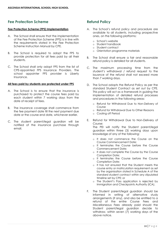# **Fee Protection Scheme**

### **Fee Protection Scheme (FPS) Implementation**

- A. The School shall ensure that the implementation of the Fee Protection Scheme (FPS) is in line with the requirements stated in the Fee Protection Scheme Instruction Manual by CPE.
- B. The School is required to adopt the FPS to provide protection for all fees paid by all their students.
- C. The School shall only adopt FPS from the list of CPE-appointed FPS Insurance Providers. The school appointer FPS provider is Liberty Insurance.

### **All fees paid by students are protected under FPS**

- A. The School is to ensure that the insurance is purchased to protect the course fees paid by each student within 7 working days from the date of receipt of fees.
- B. The insurance coverage shall commence from the fee payment date till the next payment due date or the course end date, whichever earlier.
- C. The student parent/legal guardian will be notified of the insurance purchase through email.

# **Refund Policy**

- A. The School's refund policy and procedure are available to all students, including prospective ones, on the following platforms:
	- o School's website
	- o Student handbook
	- o Student contract
	- o Orientation programme materials
- B. The School shall ensure a fair and reasonable refund policy is detailed for all students.
- C. The maximum processing time from the student's withdrawal / refund request to the issuance of the refund shall not exceed more than 7 working days.
- D. The School adopts the Refund Policy as per the standard Student Contract as set out by CPE. This policy will act as a framework in guiding the implementation of detailed refund processes and procedures in the following areas:
	- o Refund for Withdrawal Due to Non-Delivery of Course
	- o Refund for Withdrawal Due to Other Reasons
	- o Cooling off Period
- E. Refund for Withdrawal Due to Non-Delivery of Course:

The PEI will notify the Student parent/legal guardian within three (3) working days upon knowledge of any of the following:

- o It does not commence the Course on the Course Commencement Date;
- o It terminates the Course before the Course Commencement Date;
- o It does not complete the Course by the Course Completion Date;
- o It terminates the Course before the Course Completion Date;
- o It has not ensured that the Student meets the course entry or matriculation requirement as set by the organisation stated in Schedule A of the standard student contract within any stipulated timeline set by CPE; or
- o The Student's Pass application is rejected by Immigration and Checkpoints Authority (ICA).
- F. The Student parent/legal guardian should be informed in writing of alternative study arrangements (if any), and also be entitled to a refund of the entire Course Fees and Miscellaneous Fees already paid should the Student parent/legal guardian decide to withdraw, within seven (7) working days of the above notice.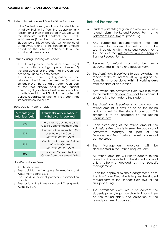- G. Refund for Withdrawal Due to Other Reasons:
	- o If the Student parent/legal guardian decides to withdraw their child from the Course for any reason other than those stated in Clause 2.1 of the standard student contract, the PEI will, within seven (7) working days of receiving the Student parent/legal guardian written notice of withdrawal, refund to the Student an amount based on the table in Schedule D of the standard student contract.
- H. Refund during Cooling-off Period:
	- o The PEI will provide the Student parent/legal guardian with a cooling-off period of seven (7) working days after the date that the Contract has been signed by both parties.
	- o The Student parent/legal guardian will be refunded the highest percentage (stated in Schedule D of the Standard Student Contract) of the fees already paid if the Student parent/legal guardian submits a written notice of withdrawal to the PEI within the cooling-off period, regardless of whether the Student has started the course or not.
- I. Schedule D Refund Table:

| Percentage of<br>total fees paid | If Student's written notice of<br>withdrawal is received:                   |  |  |
|----------------------------------|-----------------------------------------------------------------------------|--|--|
| 90%                              | more than 30 days before the<br>Course Commencement Date                    |  |  |
| 50%                              | before, but not more than 30<br>days before the Course<br>Commencement Date |  |  |
| 25%                              | after, but not more than 7 days<br>after the Course<br>Commencement Date    |  |  |
| ገ%                               | more than 7 days after the<br>Course Commencement Date                      |  |  |

- J. Non-Refundable Fees:
	- o Application Fees
	- o Fees paid to the Singapore Examinations and Assessment Board (SEAB)
	- o Fees paid to external partners / examination boards
	- o Fees paid to the Immigration and Checkpoints Authority (ICA)

# **Refund Procedure**

- A. Student parent/legal guardian who would like a refund, submit the Refund Request Form to the Admissions Executive for processing.
- B. Any supporting documentations that are required to process the refund must be submitted along with the Refund Request Form. This includes the Withdrawal Request Form or Transfer Request Forms.
- C. Reasons for refund must also be clearly documented in the Refund Request Form.
- D. The *Admissions Executive* is to acknowledge the receipt of the refund request by signing on the form. This is to be done **within 2 working days** from the date of application.
- E. After which, the *Admissions Executive* is to refer to the student's Student Contract to establish if a refund is to be made to the student.
- F. The *Admissions Executive* is to work out the refund amount (if any) based on the refund policy stated in the student contract. This amount is to be indicated on the Refund Request Form.
- G. Upon establishing of the refund amount, the *Admissions Executive* is to seek the approval of *Admissions Manager* as part of the *Management Team* before the refund amount can be issued.
- H. The Management approval will be documented in the Refund Request Form.
- I. All refund amounts will strictly adhere to the refund policy as stated in the student contract unless otherwise decided by the school's management.
- J. Upon the approval by the *Management Team*, the *Admissions Executive* is to pass the student request form to the *Finance Executive* for the final processing.
- K. The *Admissions Executive* is to contact the students parent/legal guardian to inform them on the refund status and collection of the refund payment if approved.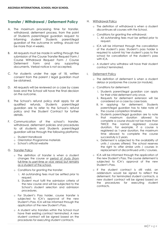# **Transfer / Withdrawal / Deferment Policy**

- A. The maximum processing time for transfer, withdrawal, deferment process, from the point of Students parent/legal guardian request to informing student Students parent/legal guardian of the outcome in writing, should not be more than 4 weeks.
- B. All requests must be made in writing through the submission of the Course Transfer Request Form / Course Withdrawal Request Form / Course Deferment Form and any supporting documents. Verbal notice is not accepted.
- C. For students under the age of 18, written consent from the parent / legal guardian must be obtained.
- D. All requests will be reviewed on a case by cases basis and the School will have the final decision on the outcome.
- E. The School's refund policy shall apply for all qualified refunds. Students parent/legal guardian are to refer to the School's refund policy and the Student Contract for further details.
- F. Communication of the school's transfer, withdrawal, deferment policies and procedures to all students and Students parent/legal guardian will be through the following platforms:
	- o Student Handbook
	- o Orientation Programme materials
	- o School's official website
- G. Transfer Policy
	- o The definition of transfer is when a student changes the course or period of study (from full-time to part-time or vice versa) but remains as a student of the school.
	- o Conditions for granting the transfer:
		- i. All outstanding fees must be settled prior to request.
		- ii. Student must fulfil the admission criteria of the new course and will be subjected to the School's student selection and admission procedures.
	- o For Student's Pass holder, course transfer is subjected to ICA's approval of the new Student's Pass. ICA will be informed through the application of the new Student's Pass.
	- o A student who transfers within the School must have their existing contract terminated. A new student contract will be signed based on the procedures for executing student contracts.
- H. Withdrawal Policy
	- o The definition of withdrawal is when a student discontinues all courses with the School.
	- o Conditions for granting the withdrawal: i. All outstanding fees must be settled prior to request.
	- o ICA will be informed through the cancellation of the student's pass. Student's pass holder is required to submit his/ her student's pass to the school for cancellation of the student's pass with ICA.
	- o A student who withdrew will have their student contract terminated.
- I. Deferment Policy
	- o The definition of deferment is when a student delays or postpones the course (or module).
	- o Conditions for deferment:
		- i. Students parent/legal guardian can apply for their child deferment only once.
		- ii. Requests for deferment extension will be considered on a case by case basis.
		- iii. In applying for deferment, Students parent/legal guardian has to take note of the course completion timelines.
		- iv. Students parent/legal guardian are to note that maximum duration allowed to complete a course should not be more than TWICE the normal registered course duration. For example, if a course is registered as 1-year duration, the maximum time allowed to complete the course successfully is 2 years.
		- v. Deferment is subjected to the availability of units / courses offered. The school reserves the right to offer similar units / courses in replacement of discontinued units / courses.
	- o ICA will be informed through the application of the new Student's Pass. The course deferment is subjected to ICA's approval of the new Student's Pass.
	- o If the student contract is still valid, an addendum would be signed to reflect the deferment. For terminated student contracts, a new student contract will be signed based on the procedures for executing student contracts.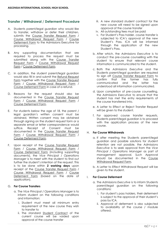# **Transfer / Withdrawal / Deferment Procedure**

- A. Students parent/legal guardian who would like to transfer, withdraw or defer their child/ren, submits the Course Transfer Request Form / Course Withdrawal Request Form / Course Deferment Form to the Admissions Executive for processing.
- B. Any supporting documentation that are required to process the request must be submitted along with the Course Transfer Request Form / Course Withdrawal Request Form / Course Deferment Form.
- C. In addition, the student parent/legal guardian would also fill in and submit the Refund Request Form together with the Course Transfer Request Form / Course Withdrawal Request Form / Course Deferment Form in case of a refund.
- D. Reasons for the request should also be documented in the Course Transfer Request Form / Course Withdrawal Request Form / Course Deferment Form.
- E. For students below the age of 18, the parent / legal guardian's written consent must be obtained. Written consent may be obtained through signing on the student request form or a separate email or letter correspondence would suffice. Receipt of Consent must be documented in the Course Transfer Request Form / Course Withdrawal Request Form / Course Deferment Form.
- F. Upon receipt of the Course Transfer Request Form / Course Withdrawal Request Form / Course Deferment Form (including supporting documents), the *Vice Principal* / *Operations Manager* is to meet with the student to find out further the student's intention of the request. This is to be done within **2 working days** upon receipt of the Course Transfer Request Form / Course Withdrawal Request Form / Course Deferment Form (based on the date of application).

### G. **For Course Transfers**

- a. The *Vice Principal* / *Operations Manager* is to inform student on the following conditions and information:
	- i. Student must meet all minimum entry requirement of the new course they wish to transfer to
	- ii. The standard Student Contract of the current course will be voided upon approval of the course transfer
- iii. A new standard student contract for the new course will need to be signed upon approval of the course transfer
- iv. All outstanding fees must be paid
- v. For Student's Pass holder, course transfer is subjected to ICA's approval of the new Student's Pass. ICA will be informed through the application of the new Student's Pass.
- b. After which, the *Admissions Executive* is to conduct the pre-course counselling with the student to ensure that relevant course information is communicated to the student.
- c. Both the *Admissions Executive* and the Students parent/legal guardian are required to sign off Course Transfer Request Form to confirm that the former has fully communicated and the latter has understood all information communicated.
- d. Upon completion of pre-course counselling, the *Admissions Executive* to ensure that the student has met the entry requirements of the course transferred into.
- e. A Letter to Effect or Reject Transfer Request will be given to the student.
- f. For approved course transfer requests, Students parent/legal guardian is to proceed with the application process of the new course.

#### H. **For Course Withdrawals**

- a. If after meeting the Students parent/legal guardian and possible solutions for student retention are not possible, the *Admissions Executive* is to seek approval from the *Vice Principal* / *Operations Manager* as part of management approval. Such Approval should be documented in the Course Withdrawal Request Form.
- b. A Letter to Effect Withdrawal Request will be given to the student.

### I. **For Course Deferment**

- a. The *Admissions Executive* is to inform Students parent/legal guardian on the following conditions:
	- i. For student's pass holders, their deferment is subject to the approval of their student's pass by ICA.
	- ii. Approval of deferment is also subjected to availability of the course / module offered.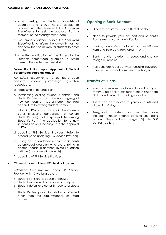- b. After meeting the Students parent/legal guardian and should he/she decide to proceed with the deferment, the *Admissions Executive* is to seek the approval from a member of the *Management Team*.
- c. For university partner courses, the *Admissions Executive* is to inform the university partner and seek their permission for student to defer studies.
- d. A written notification will be issued to the Students parent/legal guardian to inform them of the student request status.

#### J. **Follow Up Actions upon Approval of Student parent/legal guardian Request**

*Admissions Executive* is to complete upon approval student parent/legal guardian requests are:

- a. Processing of Refunds if any
- b. Terminating existing Student Contract and Student's Pass (to be done upon signing of new contract) or issue a student contract addendum to existing student contract
- c. Informing ICA of any change in the student's status (including cancellation of current Student's Pass) that may affect the existing Student's Pass. The application for a new student's pass will be subject to the approval of ICA.
- d. Updating FPS Service Provider (Refer to procedure on updating FPS Service Provider)
- e. Issuing past attendance records to Students parent/legal guardian who are enrolling in another course in another Private Education Institute (for course withdrawals)
- f. Updating of FPS Service Provider

### K. **Circumstances to inform FPS Service Provider**

*Admissions Executive* will update FPS Service Provider within 3 working days if:

- o Student transfers his course of study; or
- o Student withdraws from course of study; or
- o Student defers or extends his course of study;  $\cap$ r
- o Student's fee protection status is affected other than the circumstances as listed above.

# **Opening a Bank Account**

- Different requirements for different banks.
- Need to provide your passport and Student's Pass (green card) for identification.
- Banking hours: Monday to Friday, from 8.30am-4pm and Saturday, from 9.30am-1pm.
- Banks handle travellers' cheques and change foreign currencies.
- Passports are required when cashing travellers' cheques. A nominal commission is charged.

### **Transfer of Funds**

- You may receive additional funds from your family using bank drafts made out in Singapore dollars and drawn from a Singapore bank.
- These can be credited to your accounts and drawn in 1-2 days.
- Telegraphic transfers may also be made indirectly through another bank to your bank account. There's a bank charge of S\$10 to S\$30 per transaction.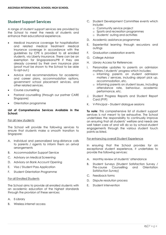# **Student Support Services**

A range of student support services are provided by the School to meet the needs of students and enhance their educational experience.

- Medical insurance coverage for hospitalisation and related medical treatment Medical Insurance coverage in accordance with the guidelines by CPE is provided to all enrolled students, via Liberty Insurance. There can be an exemption for Singaporeans/PR if they are already covered by their own insurance plan (proof must be shown to the School to be able to opt-out.)
- Advice and recommendations for academic and career plans, accommodation options, government school placement services, and other related services.
- Course counselling
- Pastoral counselling (through our partner CARE Singapore)
- Orientation programme

### **List of Comprehensive Services Available in the School:**

#### For all new students

The School will provide the following services to ensure that students make a smooth transition to Singapore:

- A. Individual and personalized long-distance calls to parents / agents to inform them on arrival arrangements
- B. Accommodation Support Service
- C. Advisory on Medical Screening
- D. Advisory on Bank Account Opening
- E. Visa / Student Pass Application
- F. Student Orientation Programme

#### For all Enrolled Students

The School aims to provide all enrolled students with an academic education of the highest standards through the provision of these services:

- A. E-Library
- B. Wireless internet access
- C. Student Development Committee events which include:
	- o Community service project
	- o Sports and recreation programmes
	- o Students' outing and activities
- D. Academic assistance programmes
- E. Experiential learning through excursions and outings
- F. Graduation celebration events
- G. College Advisor
- H. Library Access for References
- I. Personalize updates to parents on admission matters / students' progress which includes:
	- o Informing parents on student admission matters / services, including airport pick up, accommodation, etc.
	- o Informing parents on student issues, including attendance rate, behaviour, academic performance, etc.
- J. Student Progress Reports and Student Report Card (PYP)
- K. V-Principal Student dialogue sessions

**To note**: This comprehensive list of student support services is not meant to be exhaustive. The School undertakes the responsibility to continually improve on ensuring that all students' welfare and needs are well taken care of and will do so by school-student engagements through the various student touch points as listed.

#### For enhancing overall Student Experience

In ensuring that the School provides for an exceptional student experience, it undertakes to provide the following services:

- A. Monthly review of students' attendance
- B. Student Surveys (Student Satisfaction Survey / Pre-course Counselling and Orientation Satisfaction Survey)
- C. Feedback forms
- D. Dispute resolution process
- E. Student intervention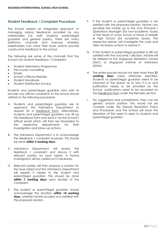## **Student Feedback / Complaint Procedure**

The School adopts an integrated approach to managing various feedbacks provided by any stakeholders (i.e. staff, students, parent/legal guardian and general public). There are many<br>platforms, channels and avenues whereby platforms, channels and avenues whereby stakeholders can voice their issues and/or provide constructive feedback to the school.

The following are some of the channels that the School can receive Feedback / Complaint:

- Student Orientation Programme
- Pre-course counselling
- **Fmails**
- School's Official Website
- Student Handbook
- Student Satisfaction Surveys

Students and parent/legal guardian who wish to provide any official complaints to the School should adhere to the following procedure:

- A. Students and parent/legal guardian are to approach the *Admissions Department* to request for a Feedback Form. Alternatively, students and parent/legal guardian can fill up the Feedback Form and send it via the School's official email which will then be forwarded to the respective departments for their investigation and follow up actions.
- B. The *Admissions Department* is to acknowledge the feedback / complaint received. This should be done **within 3 working days**.
- C. *Admissions Department* will review the feedback / complaint and discuss it with relevant parties on issue raised. A formal investigation will be carried out if necessary.
- D. Relevant parties will then propose a solution for the issue raised and the *Admissions Department* will explain it clearly to the student and parent/legal guardian. This should be done **within 7 working days** upon receipt of the Complaint.
- E. The student or parent/legal guardian should acknowledge the situation **within 14 working days**, whether he/she accepts or is satisfied with the proposed solution.
- F. If the student or parent/legal guardian is not satisfied with the proposed solution, he/she can escalate the matter up to the *Vice Principal* / *Operations Manager* (for non-academic issues) or the *Head of Junior School* or *Head of Middle & High School* (for academic issues). The respective person will investigate the case and take necessary actions to resolve it.
- G. If the student or parent/legal guardian is still not satisfied with the outcome / decision, he/she will be referred to the *Singapore Mediation Centre (SMC)* or *Singapore Institute of Arbitrators (SIArb).*
- H. The entire process should not take more than **21 working days** unless otherwise specified. Students or parent/legal guardian need to be informed of the reason as to why it is so and justification needs to be provided by the School. Justifications need to be recorded on the Feedback Form under the Remarks section.
- I. For suggestions and compliments, they can be generic and/or positive. This would not be covered under the Dispute Resolution Policy and Procedure and the School will have the discretion of the need to reply to students and parent/legal guardian.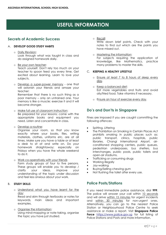# **USEFUL INFORMATION**

# **Secrets of Academic Success**

### A. **DEVELOP GOOD STUDY HABITS**

o Daily Revision:

Look through what was taught in class and do assigned homework daily.

o Be your own teacher:

Teach yourself. Don't rely too much on your teacher to spoon feed you every time. Get excited about learning. Learn to love your subjects.

o Develop a super-power memory - one that will astonish your friends and amaze your teacher: Remember that there is no such thing as a

poor memory – only an untrained one. Your memory is like a muscle; exercise it and it will become stronger.

- o Make full use of classroom instruction: Be prepared for your lessons; come with the appropriate books and equipment you need. Listen and concentrate in class.
- o Develop a routine:

Organise your room, so that you know exactly where your books, files, writing materials, clothes, uniforms etc. are at all times. Make sure you have a table or at least a desk to sit at and write on. Do your homework straightaway; especially on Fridays when you have the whole weekend to do it.

o Work co-operatively with your friends Form study groups of four to five persons. These groups will enable you to develop / clarify your ideas, improve your understanding of the topic under discussion and feel less anxious about your work.

### B. **STUDY SKILLS**

o Understand what you have learnt for the day:

Read and skim through textbooks or notes for keywords, main ideas and important examples.

o Organise the information: Using mind-mapping or note-taking, organise the topic you have just studied.

o Recall:

Write down brief points. Check with your notes to find out which are the points you have missed out.

o Mastering the information: For subjects requiring the application of knowledge, like Mathematics, practice many problems to master the skills.

### C. **KEEPING A HEALTHY LIFESTYLE**

- o Ensure at least 7 to 8 hours of sleep every day.
- o Keep a balanced diet: Eat more vegetables and fruits and avoid oily/fried food. Take vitamins if necessary.
- o Ensure an hour of exercise every day.

# **Do's and Don'ts in Singapore**

Fines are imposed if you are caught committing the following offences:

- Spitting, Littering
- The Prohibition on Smoking in Certain Places Act prohibits smoking in public places such as: public transport, clinics, hospitals, public libraries, Changi International Airport, airconditioned shopping centers, public queues, pedestrian underpasses, bus shelters, bus interchanges, public pools, public toilets and open-air stadiums.
- Trafficking or consuming drugs
- Working illegally
- Jay-walking
- Buying/Selling chewing gum
- Not flushing the toilet after every use.

# **Police Posts/Stations**

If you need immediate police assistance, dial **999**. The police will answer your call within 10 seconds and will arrive within 15 minutes for urgent incidents and within 30 minutes for non-urgent ones. Alternatively, you can go to the nearest Police Station or Neighbourhood Police Centre to seek assistance or make a report. Visit **Singapore Police Force** [https://www.police.gov.sg](https://www.police.gov.sg/) for full listing of Police Stations and Posts and more information.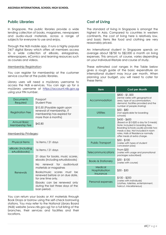## **Public Libraries**

In Singapore, the public libraries provide a wide lending collection of books, magazines, newspapers and audio-visual materials, across a range of subjects for everyone to use and enjoy.

Through the NLB mobile app, it runs a highly popular 24/7 digital library which offers all members access to a wide collection of eBooks, eMagazines, eNewspapers, eComics and learning resources such as courses and videos.

#### Membership Registration:

You can register for membership at the customer service counter at the public libraries.

Library users will need a myLibrary username to access the NLB e-services. You can sign up for a myLibrary username at [https://account.nlb.gov.sg](https://account.nlb.gov.sg/) using your FIN number.

| Documents<br>Required                 | Passport<br><b>Student Pass</b>                                                                               |  |  |
|---------------------------------------|---------------------------------------------------------------------------------------------------------------|--|--|
| <b>Registration Fee</b>               | \$10.50 (Payable again upon<br>renewal of membership, if<br>membership has expired for<br>more than 6 months) |  |  |
| <b>Annual Basic</b><br>Membership Fee | \$42.80                                                                                                       |  |  |

### Membership Privileges:

| <b>Physical Items</b>             | 16 items / 21 days                                                                    |  |  |  |
|-----------------------------------|---------------------------------------------------------------------------------------|--|--|--|
| eBooks (including<br>eAudiobooks) | 16 items / 21 days                                                                    |  |  |  |
|                                   | 21 days for books, music scores,<br>ebooks (including eAudiobooks)                    |  |  |  |
|                                   | No renewal for audiovisual<br>materials or magazines                                  |  |  |  |
| Renewals                          | Books/music scores must<br>be<br>renewed before or on due date.<br>for one time only. |  |  |  |
|                                   | Ebooks can be renewed only<br>during the last three days of the<br>loan period.       |  |  |  |

You can return your books or AV materials through Book Drops or borrow using the self-check borrowing stations. You may refer to the National Library Board (NLB) website (www.nlb.gov.sg) for a full listing of the branches, their services and facilities and their locations.

# **Cost of Living**

The standard of living in Singapore is amongst the highest in Asia. Compared to countries in western continents, the cost of living here is relatively low, and basic items like food and clothing are very reasonably priced.

An international student in Singapore spends on average about S\$750 to S\$2,000 a month on living expenses. This amount, of course, varies depending on your individual lifestyle and course of study.

These estimated cost ranges in the Table below gives a rough guide of the basic expenditure an international student may incur per month. When planning your budget, you will need to cater for these items:

| ltem                                    | Cost per Month                                                                                                                                                                                                                                 |
|-----------------------------------------|------------------------------------------------------------------------------------------------------------------------------------------------------------------------------------------------------------------------------------------------|
| Accommodation                           | \$800 - \$1,500<br>(rental varies with geographical<br>area, type of accommodation,<br>demand, facilities provided and the<br>number of people sharing)                                                                                        |
| Utilities                               | \$50 - \$80<br>(not applicable for boarding<br>schools)                                                                                                                                                                                        |
| Food                                    | \$450 - \$600<br>(Based on \$15-\$20 a day for 3 meals)<br>Note: Included in boarding fees,<br>Boarding Schools usually provide two<br>meals a day. Not included in room<br>rates, Halls of Residence normally<br>offer meals at extra charge. |
| <b>Public Transport</b>                 | \$50 - \$100<br>(varies with types of student<br>concession pass)                                                                                                                                                                              |
| Telecommunications                      | From \$30<br>(varies with usage and promotional<br>packages subscribed)                                                                                                                                                                        |
| <b>Books &amp; Stationery</b>           | \$30 - \$100<br>(varies with course)                                                                                                                                                                                                           |
| Medical<br>Hospitalisation<br>Insurance | $$30 - $50$                                                                                                                                                                                                                                    |
| Personal expenses                       | $$100 - $200$<br>(varies with individuals)<br>(clothes, toiletries, entertainment,<br>haircut, miscellaneous)                                                                                                                                  |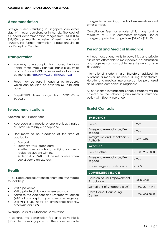# **Accommodation**

Foreign students studying in Singapore can either stay with local guardians or in hostels. The cost of full-board accommodation ranges from S\$1,000 to S\$1,500 per month, inclusive of rent, meals and laundry. For further information, please enquire at our Reception Counter.

### **Transportation**

- You may take your pick from buses, the Mass Rapid Transit (MRT) / Light Rail Transit (LRT), trains or taxis. Bus and MRT routes as well as fares can be found at: [https://www.transitlink.com.sg](https://www.transitlink.com.sg/)
- Fares may be paid in cash or by farecard, which can be used on both the MRT/LRT and buses.
- Bus/MRT/LRT Fares range from SGD1.00 SGD2.80

### **Telecommunications**

Applying For A Handphone:

- Approach any mobile phone provider, Singtel, M1, StarHub to buy a handphone.
- Documents to be produced at the time of application:
	- o Passport
	- o Student's Pass (green card)
	- o A letter from our school, certifying you are a registered student with us.
	- o A deposit of S\$200 (will be refundable when your 2-year plan expires).

### **Health**

If You Need Medical Attention, there are four modes to seek help.

- Visit a polyclinic
- Visit a private clinic near where you stay
- Admit to the Accident and Emergency Section (A&E) of any hospital if you have an emergency
- Dial **995** if you need an ambulance urgently, otherwise dial **1777**

### Average Costs of Outpatient Consultation

In general, the consultation fee at a polyclinic is \$53.50 for non-Singaporeans. There are separate charges for screenings, medical examinations and other services.

Consultation fees for private clinics vary and a minimum of \$18 is commonly charged. Dental charges at polyclinic range from \$37.40 - \$111.80.

# **Personal and Medical Insurance**

Although occasional visits to polyclinics and private clinics are affordable to most people, hospitalisation and surgeries can turn out to be extremely costly in Singapore.

International students are therefore advised to purchase a medical insurance during their studies. Hospital and medical insurance can be purchased at insurance companies in Singapore.

All of Ascensia International School's students will be covered by the school's group medical insurance policy with Liberty Insurance.

# **Useful Contacts**

| <b>EMERGENCY</b>                            |                 |  |  |
|---------------------------------------------|-----------------|--|--|
| Police                                      | - 999           |  |  |
| Emergency/Ambulance/Fire<br><b>Brigade</b>  | $-995$          |  |  |
| Immigration and Checkpoints<br>Authority    | - 6391 6100     |  |  |
| <b>IMPORTANT</b>                            |                 |  |  |
| Police Hotline                              | - 1800 255 0000 |  |  |
| Emergency/Ambulance/Fire<br><b>Brigade</b>  | $-995$          |  |  |
| Non-emergency ambulance                     | $-1777$         |  |  |
| <b>COUNSELLING SERVICES</b>                 |                 |  |  |
| Children-At-Risk Empowerment<br>Association | 65833481        |  |  |
| Samaritans of Singapore (SOS)               | - 1800 221 4444 |  |  |
| <b>Care Corner Counselling</b><br>Centre    | 1800 353 5800   |  |  |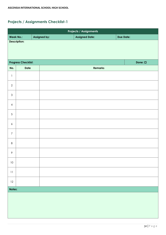|                  | <b>Projects / Assignments</b> |              |  |                       |  |                  |  |  |
|------------------|-------------------------------|--------------|--|-----------------------|--|------------------|--|--|
|                  | <b>Week No.:</b>              | Assigned by: |  | <b>Assigned Date:</b> |  | <b>Due Date:</b> |  |  |
|                  | <b>Description:</b>           |              |  |                       |  |                  |  |  |
|                  | <b>Progress Checklist:</b>    |              |  |                       |  | Done: $\Box$     |  |  |
| No.              | Date                          |              |  | <b>Remarks</b>        |  |                  |  |  |
| $\mathbf{1}$     |                               |              |  |                       |  |                  |  |  |
| $\mathbf{2}$     |                               |              |  |                       |  |                  |  |  |
| $\mathfrak{S}$   |                               |              |  |                       |  |                  |  |  |
| $\overline{4}$   |                               |              |  |                       |  |                  |  |  |
| $\sqrt{5}$       |                               |              |  |                       |  |                  |  |  |
| $\boldsymbol{6}$ |                               |              |  |                       |  |                  |  |  |
| $\boldsymbol{7}$ |                               |              |  |                       |  |                  |  |  |
| $\,8\,$          |                               |              |  |                       |  |                  |  |  |
| 9                |                               |              |  |                       |  |                  |  |  |
| $10\,$           |                               |              |  |                       |  |                  |  |  |
| $11\,$           |                               |              |  |                       |  |                  |  |  |
| $12 \,$          |                               |              |  |                       |  |                  |  |  |
| Notes:           |                               |              |  |                       |  |                  |  |  |
|                  |                               |              |  |                       |  |                  |  |  |
|                  |                               |              |  |                       |  |                  |  |  |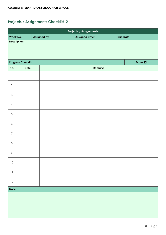|                                            | <b>Projects / Assignments</b> |              |  |                       |  |                  |  |  |  |
|--------------------------------------------|-------------------------------|--------------|--|-----------------------|--|------------------|--|--|--|
|                                            | <b>Week No.:</b>              | Assigned by: |  | <b>Assigned Date:</b> |  | <b>Due Date:</b> |  |  |  |
| <b>Description:</b>                        |                               |              |  |                       |  |                  |  |  |  |
| <b>Progress Checklist:</b><br>Done: $\Box$ |                               |              |  |                       |  |                  |  |  |  |
| No.                                        | Date                          |              |  | <b>Remarks</b>        |  |                  |  |  |  |
| $\mathbf{1}$                               |                               |              |  |                       |  |                  |  |  |  |
| $\mathbf{2}$                               |                               |              |  |                       |  |                  |  |  |  |
| $\mathfrak{S}$                             |                               |              |  |                       |  |                  |  |  |  |
| $\overline{4}$                             |                               |              |  |                       |  |                  |  |  |  |
| $\sqrt{5}$                                 |                               |              |  |                       |  |                  |  |  |  |
| $\boldsymbol{6}$                           |                               |              |  |                       |  |                  |  |  |  |
| $\boldsymbol{7}$                           |                               |              |  |                       |  |                  |  |  |  |
| $\,8\,$                                    |                               |              |  |                       |  |                  |  |  |  |
| 9                                          |                               |              |  |                       |  |                  |  |  |  |
| $10\,$                                     |                               |              |  |                       |  |                  |  |  |  |
| $11\,$                                     |                               |              |  |                       |  |                  |  |  |  |
| $12 \,$                                    |                               |              |  |                       |  |                  |  |  |  |
|                                            | Notes:                        |              |  |                       |  |                  |  |  |  |
|                                            |                               |              |  |                       |  |                  |  |  |  |
|                                            |                               |              |  |                       |  |                  |  |  |  |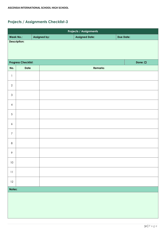|                            | Projects / Assignments |              |  |                       |  |                  |              |  |  |
|----------------------------|------------------------|--------------|--|-----------------------|--|------------------|--------------|--|--|
|                            | <b>Week No.:</b>       | Assigned by: |  | <b>Assigned Date:</b> |  | <b>Due Date:</b> |              |  |  |
| <b>Description:</b>        |                        |              |  |                       |  |                  |              |  |  |
| <b>Progress Checklist:</b> |                        |              |  |                       |  |                  | Done: $\Box$ |  |  |
| No.                        | Date                   |              |  | <b>Remarks</b>        |  |                  |              |  |  |
| $\mathbf{1}$               |                        |              |  |                       |  |                  |              |  |  |
| $\mathbf{2}$               |                        |              |  |                       |  |                  |              |  |  |
| $\mathfrak{S}$             |                        |              |  |                       |  |                  |              |  |  |
| $\overline{4}$             |                        |              |  |                       |  |                  |              |  |  |
| $\sqrt{5}$                 |                        |              |  |                       |  |                  |              |  |  |
| $\boldsymbol{6}$           |                        |              |  |                       |  |                  |              |  |  |
| $\boldsymbol{7}$           |                        |              |  |                       |  |                  |              |  |  |
| $\,8\,$                    |                        |              |  |                       |  |                  |              |  |  |
| 9                          |                        |              |  |                       |  |                  |              |  |  |
| $10\,$                     |                        |              |  |                       |  |                  |              |  |  |
| $11$                       |                        |              |  |                       |  |                  |              |  |  |
| $12 \,$                    |                        |              |  |                       |  |                  |              |  |  |
|                            | Notes:                 |              |  |                       |  |                  |              |  |  |
|                            |                        |              |  |                       |  |                  |              |  |  |
|                            |                        |              |  |                       |  |                  |              |  |  |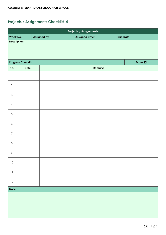|                     | <b>Projects / Assignments</b> |              |              |                       |  |                  |  |  |  |
|---------------------|-------------------------------|--------------|--------------|-----------------------|--|------------------|--|--|--|
|                     | <b>Week No.:</b>              | Assigned by: |              | <b>Assigned Date:</b> |  | <b>Due Date:</b> |  |  |  |
| <b>Description:</b> |                               |              |              |                       |  |                  |  |  |  |
|                     | <b>Progress Checklist:</b>    |              | Done: $\Box$ |                       |  |                  |  |  |  |
| No.                 | <b>Date</b>                   |              |              | <b>Remarks</b>        |  |                  |  |  |  |
| $\mathbb{I}$        |                               |              |              |                       |  |                  |  |  |  |
| $\mathbf{2}$        |                               |              |              |                       |  |                  |  |  |  |
| $\mathfrak{S}$      |                               |              |              |                       |  |                  |  |  |  |
| $\overline{4}$      |                               |              |              |                       |  |                  |  |  |  |
| 5                   |                               |              |              |                       |  |                  |  |  |  |
| $\boldsymbol{6}$    |                               |              |              |                       |  |                  |  |  |  |
| $\overline{7}$      |                               |              |              |                       |  |                  |  |  |  |
| $\,8\,$             |                               |              |              |                       |  |                  |  |  |  |
| 9                   |                               |              |              |                       |  |                  |  |  |  |
| $10\,$              |                               |              |              |                       |  |                  |  |  |  |
| $1\,1$              |                               |              |              |                       |  |                  |  |  |  |
| $12 \,$             |                               |              |              |                       |  |                  |  |  |  |
|                     | Notes:                        |              |              |                       |  |                  |  |  |  |
|                     |                               |              |              |                       |  |                  |  |  |  |
|                     |                               |              |              |                       |  |                  |  |  |  |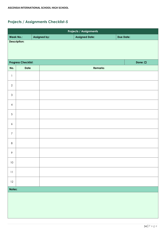|                                            | <b>Projects / Assignments</b> |              |  |                       |  |                  |  |  |  |
|--------------------------------------------|-------------------------------|--------------|--|-----------------------|--|------------------|--|--|--|
|                                            | <b>Week No.:</b>              | Assigned by: |  | <b>Assigned Date:</b> |  | <b>Due Date:</b> |  |  |  |
| <b>Description:</b>                        |                               |              |  |                       |  |                  |  |  |  |
| <b>Progress Checklist:</b><br>Done: $\Box$ |                               |              |  |                       |  |                  |  |  |  |
| No.                                        | Date                          |              |  | <b>Remarks</b>        |  |                  |  |  |  |
| $\mathbf{1}$                               |                               |              |  |                       |  |                  |  |  |  |
| $\mathbf{2}$                               |                               |              |  |                       |  |                  |  |  |  |
| $\mathfrak{S}$                             |                               |              |  |                       |  |                  |  |  |  |
| $\overline{4}$                             |                               |              |  |                       |  |                  |  |  |  |
| $\sqrt{5}$                                 |                               |              |  |                       |  |                  |  |  |  |
| $\boldsymbol{6}$                           |                               |              |  |                       |  |                  |  |  |  |
| $\boldsymbol{7}$                           |                               |              |  |                       |  |                  |  |  |  |
| $\,8\,$                                    |                               |              |  |                       |  |                  |  |  |  |
| 9                                          |                               |              |  |                       |  |                  |  |  |  |
| $10\,$                                     |                               |              |  |                       |  |                  |  |  |  |
| $11\,$                                     |                               |              |  |                       |  |                  |  |  |  |
| $12 \,$                                    |                               |              |  |                       |  |                  |  |  |  |
|                                            | Notes:                        |              |  |                       |  |                  |  |  |  |
|                                            |                               |              |  |                       |  |                  |  |  |  |
|                                            |                               |              |  |                       |  |                  |  |  |  |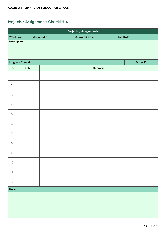|                  | <b>Projects / Assignments</b> |              |              |                       |                  |  |  |  |  |
|------------------|-------------------------------|--------------|--------------|-----------------------|------------------|--|--|--|--|
| <b>Week No.:</b> |                               | Assigned by: |              | <b>Assigned Date:</b> | <b>Due Date:</b> |  |  |  |  |
|                  | Description:                  |              |              |                       |                  |  |  |  |  |
|                  | <b>Progress Checklist:</b>    |              | Done: $\Box$ |                       |                  |  |  |  |  |
| No.              | Date                          |              |              | <b>Remarks</b>        |                  |  |  |  |  |
| $\mathbbm{1}$    |                               |              |              |                       |                  |  |  |  |  |
| $\mathbf{2}$     |                               |              |              |                       |                  |  |  |  |  |
| $\mathfrak{S}$   |                               |              |              |                       |                  |  |  |  |  |
| $\overline{4}$   |                               |              |              |                       |                  |  |  |  |  |
| $\sqrt{5}$       |                               |              |              |                       |                  |  |  |  |  |
| $\boldsymbol{6}$ |                               |              |              |                       |                  |  |  |  |  |
| $\boldsymbol{7}$ |                               |              |              |                       |                  |  |  |  |  |
| $\,8\,$          |                               |              |              |                       |                  |  |  |  |  |
| 9                |                               |              |              |                       |                  |  |  |  |  |
| $10\,$           |                               |              |              |                       |                  |  |  |  |  |
| $11$             |                               |              |              |                       |                  |  |  |  |  |
| $12\,$           |                               |              |              |                       |                  |  |  |  |  |
|                  | Notes:                        |              |              |                       |                  |  |  |  |  |
|                  |                               |              |              |                       |                  |  |  |  |  |
|                  |                               |              |              |                       |                  |  |  |  |  |
|                  |                               |              |              |                       |                  |  |  |  |  |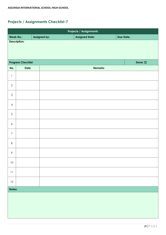|                     | <b>Projects / Assignments</b> |              |              |                       |  |                  |  |  |  |
|---------------------|-------------------------------|--------------|--------------|-----------------------|--|------------------|--|--|--|
|                     | <b>Week No.:</b>              | Assigned by: |              | <b>Assigned Date:</b> |  | <b>Due Date:</b> |  |  |  |
| <b>Description:</b> |                               |              |              |                       |  |                  |  |  |  |
|                     | <b>Progress Checklist:</b>    |              | Done: $\Box$ |                       |  |                  |  |  |  |
| No.                 | <b>Date</b>                   |              |              | <b>Remarks</b>        |  |                  |  |  |  |
| $\mathbb{I}$        |                               |              |              |                       |  |                  |  |  |  |
| $\mathbf{2}$        |                               |              |              |                       |  |                  |  |  |  |
| $\mathfrak{S}$      |                               |              |              |                       |  |                  |  |  |  |
| $\overline{4}$      |                               |              |              |                       |  |                  |  |  |  |
| 5                   |                               |              |              |                       |  |                  |  |  |  |
| $\boldsymbol{6}$    |                               |              |              |                       |  |                  |  |  |  |
| $\overline{7}$      |                               |              |              |                       |  |                  |  |  |  |
| $\,8\,$             |                               |              |              |                       |  |                  |  |  |  |
| 9                   |                               |              |              |                       |  |                  |  |  |  |
| $10\,$              |                               |              |              |                       |  |                  |  |  |  |
| $1\,1$              |                               |              |              |                       |  |                  |  |  |  |
| $12 \,$             |                               |              |              |                       |  |                  |  |  |  |
|                     | Notes:                        |              |              |                       |  |                  |  |  |  |
|                     |                               |              |              |                       |  |                  |  |  |  |
|                     |                               |              |              |                       |  |                  |  |  |  |